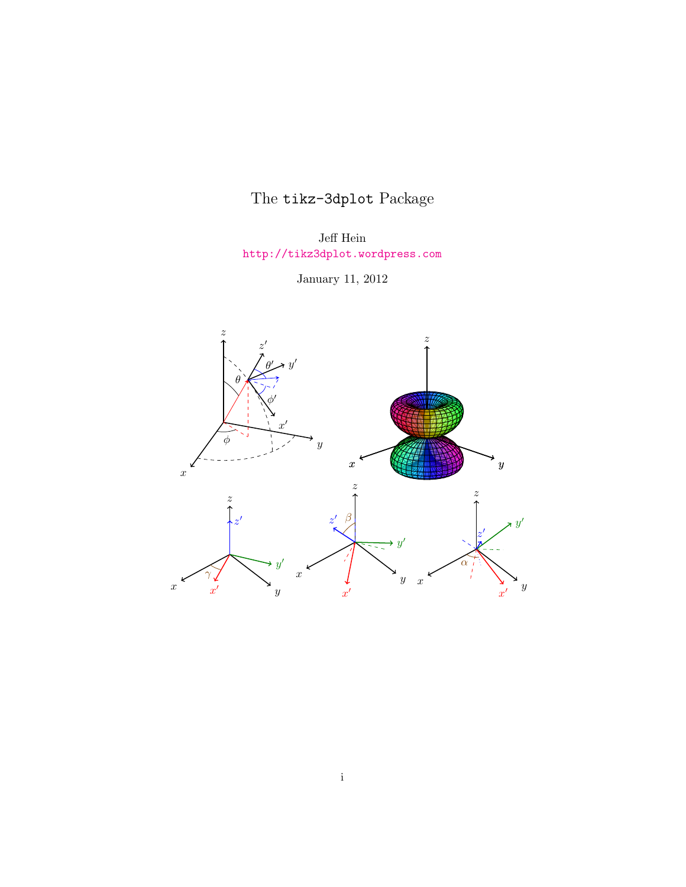## The tikz-3dplot Package

Jeff Hein <http://tikz3dplot.wordpress.com>

January 11, 2012

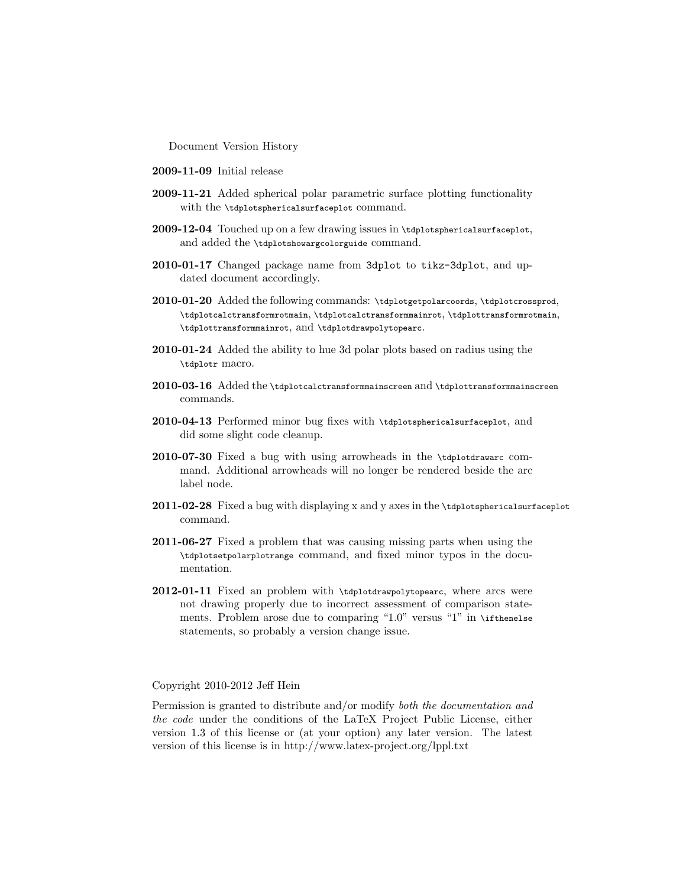Document Version History

- 2009-11-09 Initial release
- 2009-11-21 Added spherical polar parametric surface plotting functionality with the \tdplotsphericalsurfaceplot command.
- 2009-12-04 Touched up on a few drawing issues in \tdplotsphericalsurfaceplot, and added the \tdplotshowargcolorguide command.
- 2010-01-17 Changed package name from 3dplot to tikz-3dplot, and updated document accordingly.
- 2010-01-20 Added the following commands: \tdplotgetpolarcoords, \tdplotcrossprod, \tdplotcalctransformrotmain, \tdplotcalctransformmainrot, \tdplottransformrotmain, \tdplottransformmainrot, and \tdplotdrawpolytopearc.
- 2010-01-24 Added the ability to hue 3d polar plots based on radius using the \tdplotr macro.
- 2010-03-16 Added the \tdplotcalctransformmainscreen and \tdplottransformmainscreen commands.
- 2010-04-13 Performed minor bug fixes with \tdplotsphericalsurfaceplot, and did some slight code cleanup.
- 2010-07-30 Fixed a bug with using arrowheads in the \tdplotdrawarc command. Additional arrowheads will no longer be rendered beside the arc label node.
- 2011-02-28 Fixed a bug with displaying x and y axes in the \tdplotsphericalsurfaceplot command.
- 2011-06-27 Fixed a problem that was causing missing parts when using the \tdplotsetpolarplotrange command, and fixed minor typos in the documentation.
- 2012-01-11 Fixed an problem with \tdplotdrawpolytopearc, where arcs were not drawing properly due to incorrect assessment of comparison statements. Problem arose due to comparing "1.0" versus "1" in \ifthenelse statements, so probably a version change issue.

#### Copyright 2010-2012 Jeff Hein

Permission is granted to distribute and/or modify both the documentation and the code under the conditions of the LaTeX Project Public License, either version 1.3 of this license or (at your option) any later version. The latest version of this license is in http://www.latex-project.org/lppl.txt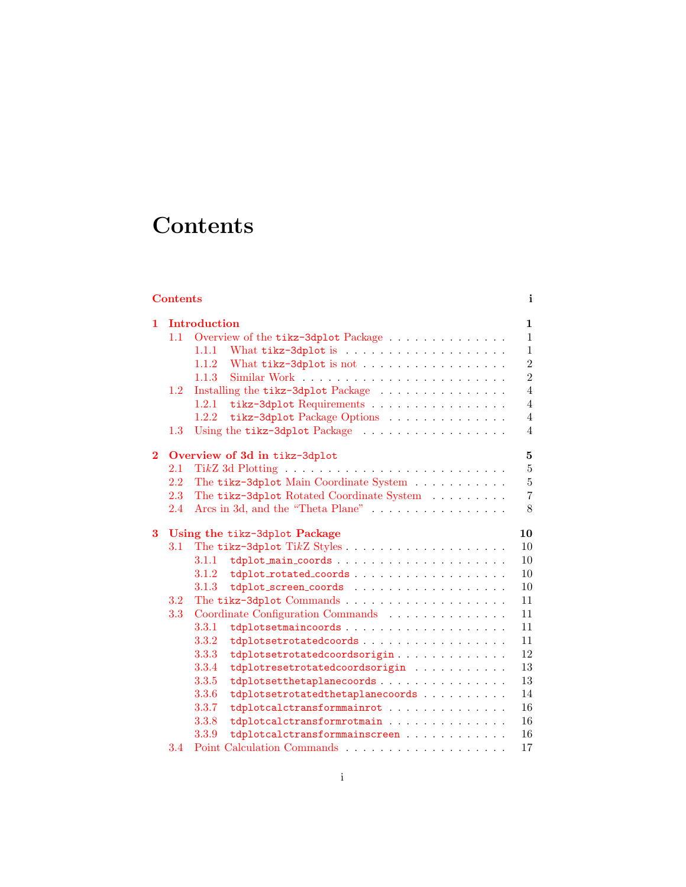# **Contents**

<span id="page-2-0"></span>

|                   | <b>Contents</b><br>$\mathbf{i}$     |                                                                               |                              |  |  |  |
|-------------------|-------------------------------------|-------------------------------------------------------------------------------|------------------------------|--|--|--|
| Introduction<br>1 |                                     |                                                                               |                              |  |  |  |
|                   | 1.1                                 | Overview of the tikz-3dplot Package                                           | $\mathbf{1}$<br>$\mathbf{1}$ |  |  |  |
|                   |                                     | 1.1.1                                                                         | $\mathbf{1}$                 |  |  |  |
|                   |                                     | What tikz-3dplot is not<br>1.1.2                                              | $\overline{2}$               |  |  |  |
|                   |                                     | 1.1.3                                                                         | $\overline{2}$               |  |  |  |
|                   | $1.2\,$                             | Installing the tikz-3dp1ot Package $\ldots \ldots \ldots \ldots \ldots$       | $\overline{4}$               |  |  |  |
|                   |                                     | 1.2.1<br>tikz-3dplot Requirements                                             | $\overline{4}$               |  |  |  |
|                   |                                     | tikz-3dplot Package Options<br>1.2.2                                          | $\overline{4}$               |  |  |  |
|                   | $1.3\,$                             | Using the tikz-3dplot Package                                                 | $\overline{4}$               |  |  |  |
|                   |                                     |                                                                               |                              |  |  |  |
| $\bf{2}$          | Overview of 3d in tikz-3dplot       |                                                                               |                              |  |  |  |
|                   | 2.1                                 |                                                                               | $\overline{5}$               |  |  |  |
|                   | 2.2                                 | The tikz-3dplot Main Coordinate System                                        | $\bf 5$                      |  |  |  |
|                   | 2.3                                 | The tikz-3dplot Rotated Coordinate System                                     | $\overline{7}$               |  |  |  |
|                   | 2.4                                 | Arcs in 3d, and the "Theta Plane" $\ldots \ldots \ldots \ldots \ldots$        | 8                            |  |  |  |
| 3                 | Using the tikz-3dplot Package<br>10 |                                                                               |                              |  |  |  |
|                   | $3.1\,$                             |                                                                               | 10                           |  |  |  |
|                   |                                     | 3.1.1                                                                         | 10                           |  |  |  |
|                   |                                     | tdplot_rotated_coords<br>3.1.2                                                | 10                           |  |  |  |
|                   |                                     | 3.1.3<br>tdplot_screen_coords                                                 | 10                           |  |  |  |
|                   | 3.2                                 | The tikz-3dplot Commands $\dots \dots \dots \dots \dots \dots \dots$          | 11                           |  |  |  |
|                   | 3.3                                 | Coordinate Configuration Commands                                             | 11                           |  |  |  |
|                   |                                     | 3.3.1                                                                         | 11                           |  |  |  |
|                   |                                     | 3.3.2<br>tdplotsetrotatedcoords                                               | 11                           |  |  |  |
|                   |                                     | 3.3.3<br>tdplotsetrotatedcoordsorigin                                         | 12                           |  |  |  |
|                   |                                     | 3.3.4<br>tdplotresetrotatedcoordsorigin                                       | 13                           |  |  |  |
|                   |                                     | 3.3.5<br>${\tt tdplotsethetaplanecoords}\ .\ .\ .\ .\ .\ .\ .\ .\ .\ .\ .\ .$ | 13                           |  |  |  |
|                   |                                     | 3.3.6<br>tdplotsetrotatedthetaplanecoords                                     | 14                           |  |  |  |
|                   |                                     | 3.3.7<br>tdplotcalctransformmainrot                                           | 16                           |  |  |  |
|                   |                                     | 3.3.8<br>tdplotcalctransformrotmain                                           | 16                           |  |  |  |
|                   |                                     | 3.3.9<br>tdplotcalctransformmainscreen                                        | 16                           |  |  |  |
|                   | 3.4                                 |                                                                               | 17                           |  |  |  |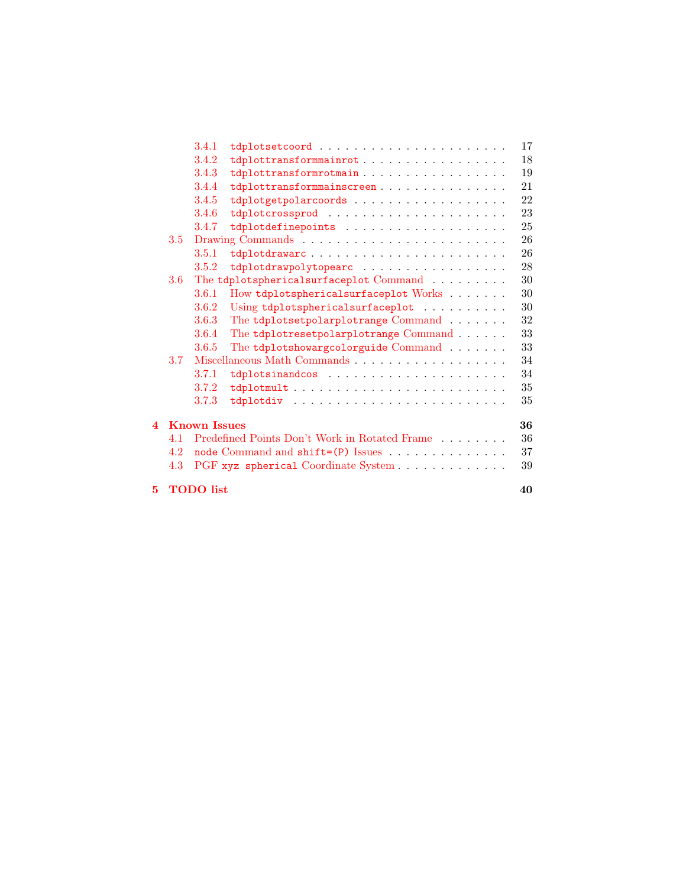|    |                     | 3.4.1 |                                                                       | 17 |  |
|----|---------------------|-------|-----------------------------------------------------------------------|----|--|
|    |                     | 3.4.2 | tdplottransformmainrot                                                | 18 |  |
|    |                     | 3.4.3 | tdplottransformrotmain                                                | 19 |  |
|    |                     | 3.4.4 | ${\tt tdplottransformma} \verb"inscreen"$                             | 21 |  |
|    |                     | 3.4.5 | tdplotgetpolarcoords                                                  | 22 |  |
|    |                     | 3.4.6 |                                                                       | 23 |  |
|    |                     | 3.4.7 |                                                                       | 25 |  |
|    | 3.5                 |       |                                                                       | 26 |  |
|    |                     | 3.5.1 | tdplotdrawarc                                                         | 26 |  |
|    |                     | 3.5.2 | tdplotdrawpolytopearc                                                 | 28 |  |
|    | 3.6 <sup>°</sup>    |       | The tdplotsphericalsurfaceplot Command                                | 30 |  |
|    |                     | 3.6.1 | How tdplotsphericalsurfaceplot Works                                  | 30 |  |
|    |                     | 3.6.2 | Using tdplotsphericalsurfaceplot                                      | 30 |  |
|    |                     | 3.6.3 | The $\texttt{tdplotsetpolarplotrange}\ \textsc{Command}\ \dots \dots$ | 32 |  |
|    |                     | 3.6.4 | The tdplotresetpolarplotrange Command                                 | 33 |  |
|    |                     | 3.6.5 | The tdplotshowargcolorguide Command                                   | 33 |  |
|    | 3.7                 |       |                                                                       | 34 |  |
|    |                     | 3.7.1 |                                                                       | 34 |  |
|    |                     | 3.7.2 |                                                                       | 35 |  |
|    |                     | 3.7.3 |                                                                       | 35 |  |
| 4  | <b>Known Issues</b> |       |                                                                       |    |  |
|    | 4.1                 |       | Predefined Points Don't Work in Rotated Frame $\ldots \ldots \ldots$  | 36 |  |
|    | 4.2                 |       |                                                                       | 37 |  |
|    | 4.3                 |       | PGF xyz spherical Coordinate System                                   | 39 |  |
| 5. | <b>TODO</b> list    |       |                                                                       |    |  |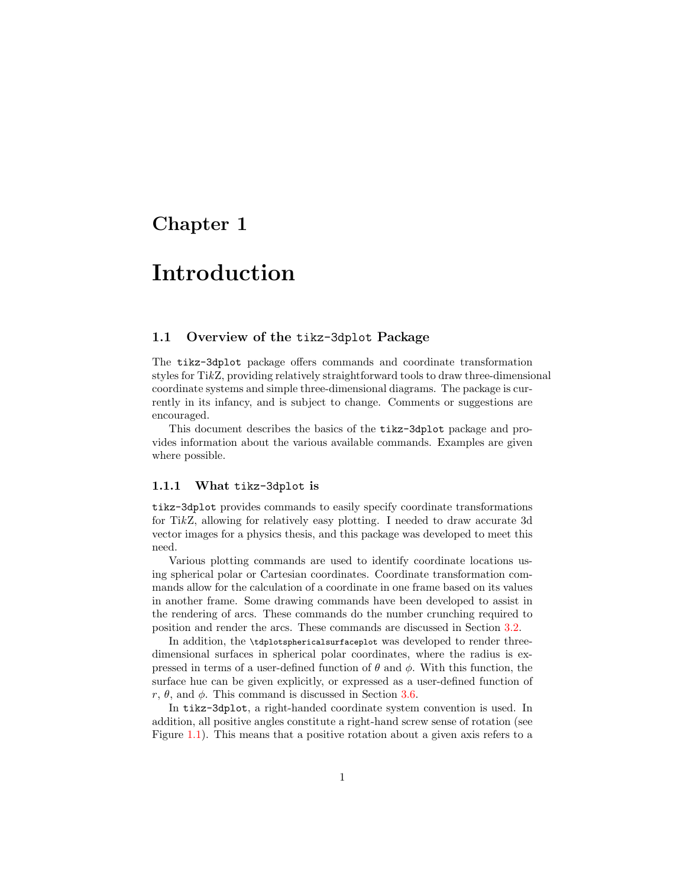### <span id="page-4-0"></span>Chapter 1

## Introduction

#### <span id="page-4-1"></span>1.1 Overview of the tikz-3dplot Package

The tikz-3dplot package offers commands and coordinate transformation styles for TikZ, providing relatively straightforward tools to draw three-dimensional coordinate systems and simple three-dimensional diagrams. The package is currently in its infancy, and is subject to change. Comments or suggestions are encouraged.

This document describes the basics of the tikz-3dplot package and provides information about the various available commands. Examples are given where possible.

#### <span id="page-4-2"></span>1.1.1 What tikz-3dplot is

tikz-3dplot provides commands to easily specify coordinate transformations for TikZ, allowing for relatively easy plotting. I needed to draw accurate 3d vector images for a physics thesis, and this package was developed to meet this need.

Various plotting commands are used to identify coordinate locations using spherical polar or Cartesian coordinates. Coordinate transformation commands allow for the calculation of a coordinate in one frame based on its values in another frame. Some drawing commands have been developed to assist in the rendering of arcs. These commands do the number crunching required to position and render the arcs. These commands are discussed in Section [3.2.](#page-14-0)

In addition, the \tdplotsphericalsurfaceplot was developed to render threedimensional surfaces in spherical polar coordinates, where the radius is expressed in terms of a user-defined function of  $\theta$  and  $\phi$ . With this function, the surface hue can be given explicitly, or expressed as a user-defined function of r,  $\theta$ , and  $\phi$ . This command is discussed in Section [3.6.](#page-33-0)

In tikz-3dplot, a right-handed coordinate system convention is used. In addition, all positive angles constitute a right-hand screw sense of rotation (see Figure [1.1\)](#page-5-2). This means that a positive rotation about a given axis refers to a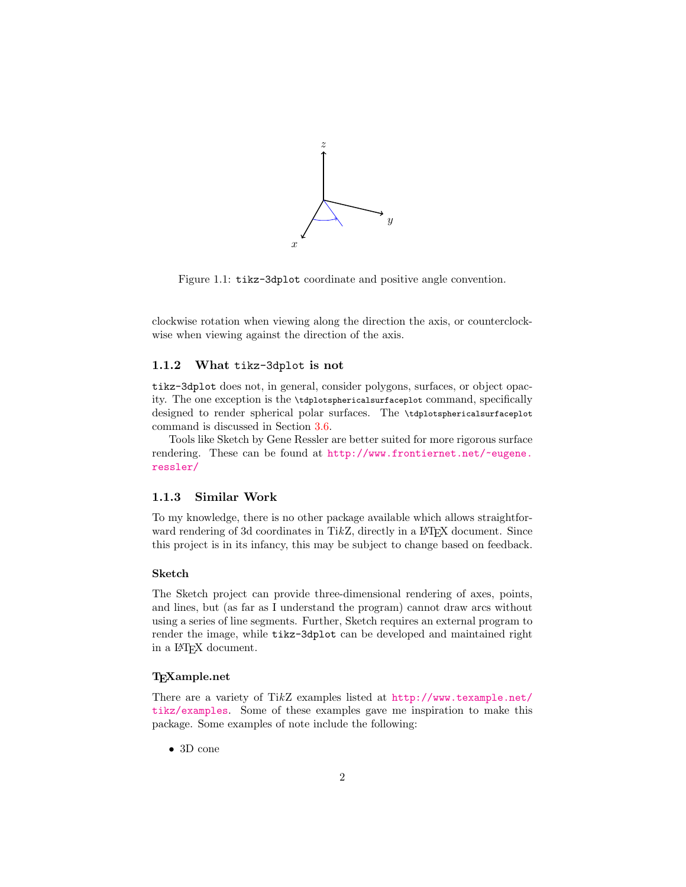

<span id="page-5-2"></span>Figure 1.1: tikz-3dplot coordinate and positive angle convention.

clockwise rotation when viewing along the direction the axis, or counterclockwise when viewing against the direction of the axis.

#### <span id="page-5-0"></span>1.1.2 What tikz-3dplot is not

tikz-3dplot does not, in general, consider polygons, surfaces, or object opacity. The one exception is the \tdplotsphericalsurfaceplot command, specifically designed to render spherical polar surfaces. The \tdplotsphericalsurfaceplot command is discussed in Section [3.6.](#page-33-0)

Tools like Sketch by Gene Ressler are better suited for more rigorous surface rendering. These can be found at [http://www.frontiernet.net/~eugene.](http://www.frontiernet.net/~eugene.ressler/) [ressler/](http://www.frontiernet.net/~eugene.ressler/)

#### <span id="page-5-1"></span>1.1.3 Similar Work

To my knowledge, there is no other package available which allows straightforward rendering of 3d coordinates in TikZ, directly in a L<sup>AT</sup>FX document. Since this project is in its infancy, this may be subject to change based on feedback.

#### Sketch

The Sketch project can provide three-dimensional rendering of axes, points, and lines, but (as far as I understand the program) cannot draw arcs without using a series of line segments. Further, Sketch requires an external program to render the image, while tikz-3dplot can be developed and maintained right in a IAT<sub>EX</sub> document.

#### T<sub>F</sub>Xample.net

There are a variety of TikZ examples listed at [http://www.texample.net/](http://www.texample.net/tikz/examples) [tikz/examples](http://www.texample.net/tikz/examples). Some of these examples gave me inspiration to make this package. Some examples of note include the following:

• 3D cone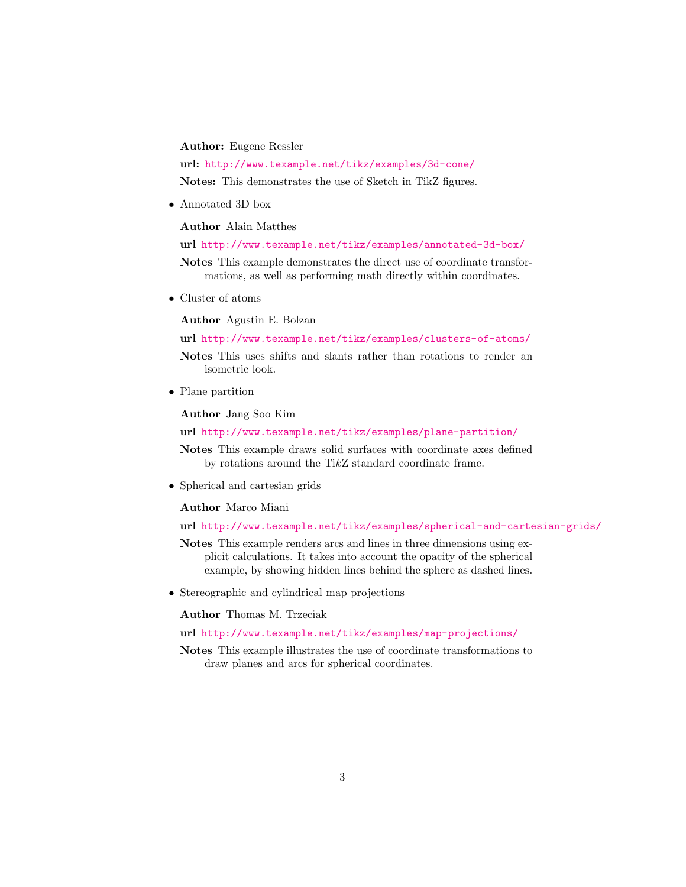Author: Eugene Ressler

url: <http://www.texample.net/tikz/examples/3d-cone/>

Notes: This demonstrates the use of Sketch in TikZ figures.

• Annotated 3D box

Author Alain Matthes

url <http://www.texample.net/tikz/examples/annotated-3d-box/>

Notes This example demonstrates the direct use of coordinate transformations, as well as performing math directly within coordinates.

• Cluster of atoms

Author Agustin E. Bolzan

url <http://www.texample.net/tikz/examples/clusters-of-atoms/>

Notes This uses shifts and slants rather than rotations to render an isometric look.

• Plane partition

Author Jang Soo Kim

url <http://www.texample.net/tikz/examples/plane-partition/>

Notes This example draws solid surfaces with coordinate axes defined by rotations around the TikZ standard coordinate frame.

• Spherical and cartesian grids

Author Marco Miani

url <http://www.texample.net/tikz/examples/spherical-and-cartesian-grids/>

Notes This example renders arcs and lines in three dimensions using explicit calculations. It takes into account the opacity of the spherical example, by showing hidden lines behind the sphere as dashed lines.

• Stereographic and cylindrical map projections

Author Thomas M. Trzeciak

url <http://www.texample.net/tikz/examples/map-projections/>

Notes This example illustrates the use of coordinate transformations to draw planes and arcs for spherical coordinates.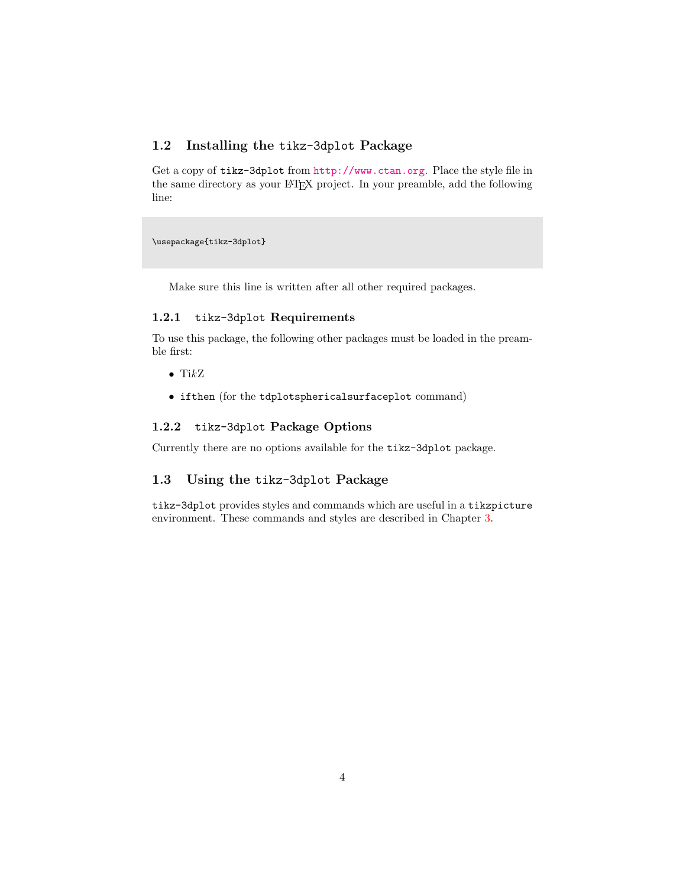#### <span id="page-7-0"></span>1.2 Installing the tikz-3dplot Package

Get a copy of tikz-3dplot from <http://www.ctan.org>. Place the style file in the same directory as your L<sup>A</sup>TEX project. In your preamble, add the following line:

\usepackage{tikz-3dplot}

Make sure this line is written after all other required packages.

#### <span id="page-7-1"></span>1.2.1 tikz-3dplot Requirements

To use this package, the following other packages must be loaded in the preamble first:

- $\bullet$  TikZ
- ifthen (for the tdplotsphericalsurfaceplot command)

#### <span id="page-7-2"></span>1.2.2 tikz-3dplot Package Options

Currently there are no options available for the tikz-3dplot package.

#### <span id="page-7-3"></span>1.3 Using the tikz-3dplot Package

tikz-3dplot provides styles and commands which are useful in a tikzpicture environment. These commands and styles are described in Chapter [3.](#page-13-0)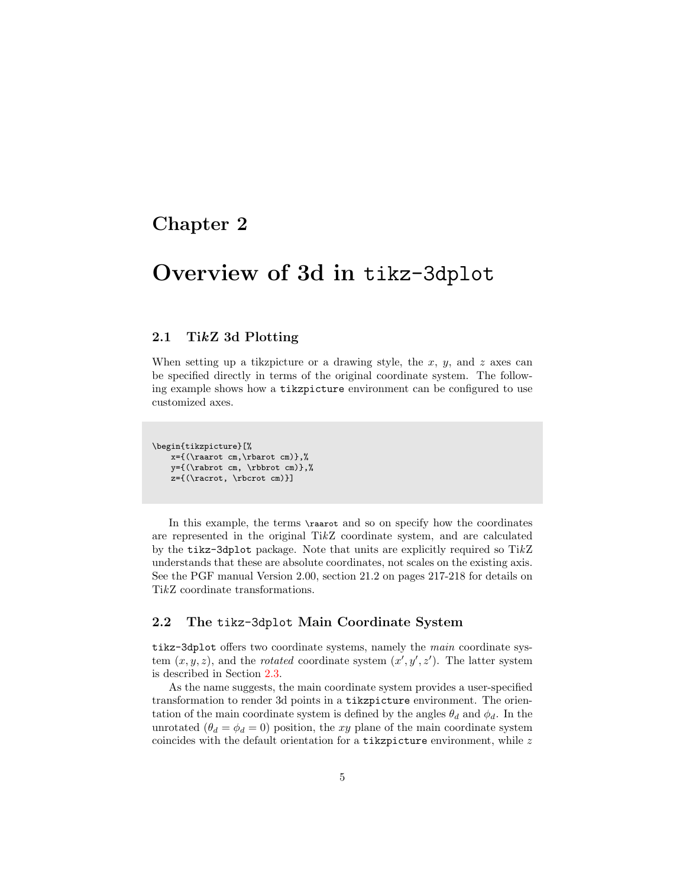### <span id="page-8-0"></span>Chapter 2

## Overview of 3d in tikz-3dplot

#### <span id="page-8-1"></span>2.1 TikZ 3d Plotting

When setting up a tikzpicture or a drawing style, the  $x, y$ , and  $z$  axes can be specified directly in terms of the original coordinate system. The following example shows how a tikzpicture environment can be configured to use customized axes.

```
\begin{tikzpicture}[%
   x={(\raarot cm,\rbarot cm)},%
   y={(\rabrot cm, \rbbrot cm)},%
   z={(\racrot, \rbcrot cm)}]
```
In this example, the terms  $\raarot$  and so on specify how the coordinates are represented in the original TikZ coordinate system, and are calculated by the tikz-3dplot package. Note that units are explicitly required so TikZ understands that these are absolute coordinates, not scales on the existing axis. See the PGF manual Version 2.00, section 21.2 on pages 217-218 for details on TikZ coordinate transformations.

#### <span id="page-8-2"></span>2.2 The tikz-3dplot Main Coordinate System

tikz-3dplot offers two coordinate systems, namely the main coordinate system  $(x, y, z)$ , and the *rotated* coordinate system  $(x', y', z')$ . The latter system is described in Section [2.3.](#page-10-0)

As the name suggests, the main coordinate system provides a user-specified transformation to render 3d points in a tikzpicture environment. The orientation of the main coordinate system is defined by the angles  $\theta_d$  and  $\phi_d$ . In the unrotated  $(\theta_d = \phi_d = 0)$  position, the xy plane of the main coordinate system coincides with the default orientation for a tikzpicture environment, while  $z$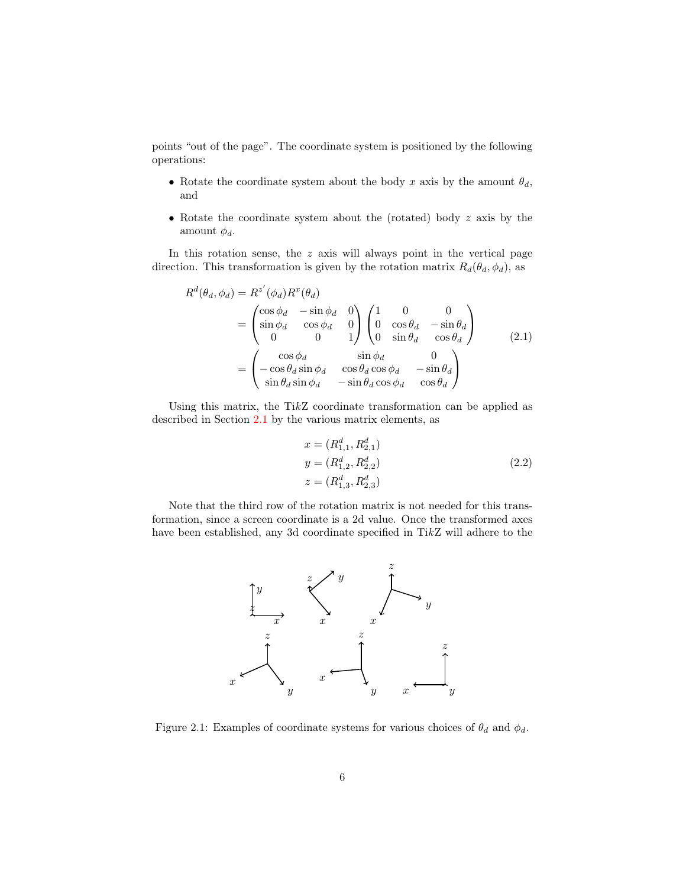points "out of the page". The coordinate system is positioned by the following operations:

- Rotate the coordinate system about the body x axis by the amount  $\theta_d$ , and
- Rotate the coordinate system about the (rotated) body z axis by the amount  $\phi_d$ .

In this rotation sense, the  $z$  axis will always point in the vertical page direction. This transformation is given by the rotation matrix  $R_d(\theta_d, \phi_d)$ , as

$$
R^{d}(\theta_{d}, \phi_{d}) = R^{z'}(\phi_{d})R^{x}(\theta_{d})
$$
  
= 
$$
\begin{pmatrix} \cos \phi_{d} & -\sin \phi_{d} & 0 \\ \sin \phi_{d} & \cos \phi_{d} & 0 \\ 0 & 0 & 1 \end{pmatrix} \begin{pmatrix} 1 & 0 & 0 \\ 0 & \cos \theta_{d} & -\sin \theta_{d} \\ 0 & \sin \theta_{d} & \cos \theta_{d} \end{pmatrix}
$$
  
= 
$$
\begin{pmatrix} \cos \phi_{d} & \sin \phi_{d} & 0 \\ -\cos \theta_{d} \sin \phi_{d} & \cos \theta_{d} \cos \phi_{d} & -\sin \theta_{d} \\ \sin \theta_{d} \sin \phi_{d} & -\sin \theta_{d} \cos \phi_{d} & \cos \theta_{d} \end{pmatrix}
$$
(2.1)

Using this matrix, the TikZ coordinate transformation can be applied as described in Section [2.1](#page-8-1) by the various matrix elements, as

$$
x = (R_{1,1}^d, R_{2,1}^d)
$$
  
\n
$$
y = (R_{1,2}^d, R_{2,2}^d)
$$
  
\n
$$
z = (R_{1,3}^d, R_{2,3}^d)
$$
\n(2.2)

Note that the third row of the rotation matrix is not needed for this transformation, since a screen coordinate is a 2d value. Once the transformed axes have been established, any 3d coordinate specified in TikZ will adhere to the



Figure 2.1: Examples of coordinate systems for various choices of  $\theta_d$  and  $\phi_d$ .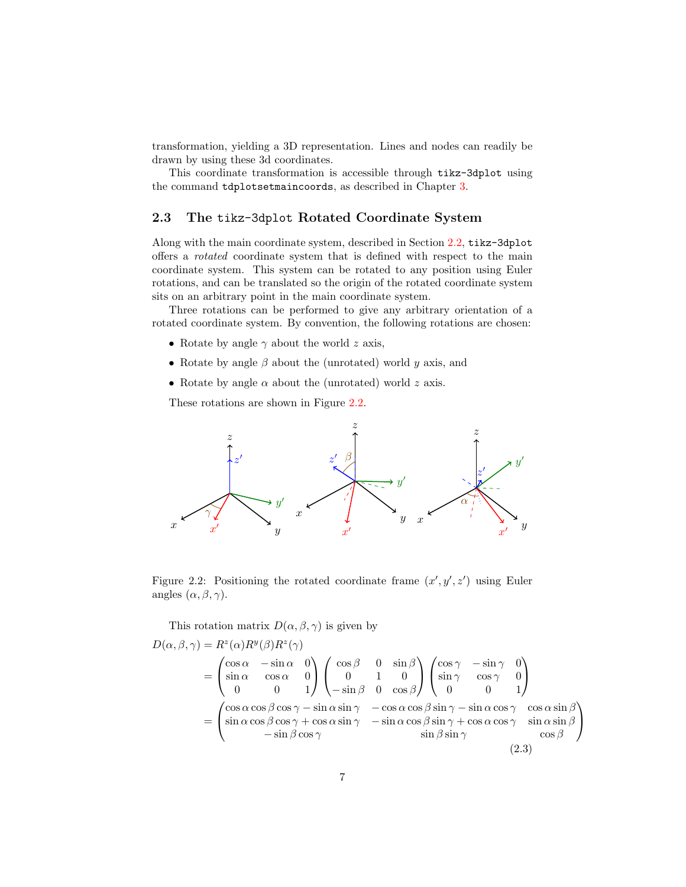transformation, yielding a 3D representation. Lines and nodes can readily be drawn by using these 3d coordinates.

This coordinate transformation is accessible through tikz-3dplot using the command tdplotsetmaincoords, as described in Chapter [3.](#page-13-0)

#### <span id="page-10-0"></span>2.3 The tikz-3dplot Rotated Coordinate System

Along with the main coordinate system, described in Section [2.2,](#page-8-2) tikz-3dplot offers a rotated coordinate system that is defined with respect to the main coordinate system. This system can be rotated to any position using Euler rotations, and can be translated so the origin of the rotated coordinate system sits on an arbitrary point in the main coordinate system.

Three rotations can be performed to give any arbitrary orientation of a rotated coordinate system. By convention, the following rotations are chosen:

- Rotate by angle  $\gamma$  about the world z axis,
- Rotate by angle  $\beta$  about the (unrotated) world y axis, and
- Rotate by angle  $\alpha$  about the (unrotated) world z axis.

These rotations are shown in Figure [2.2.](#page-10-1)



<span id="page-10-1"></span>Figure 2.2: Positioning the rotated coordinate frame  $(x', y', z')$  using Euler angles  $(\alpha, \beta, \gamma)$ .

This rotation matrix  $D(\alpha, \beta, \gamma)$  is given by

$$
D(\alpha, \beta, \gamma) = R^{z}(\alpha)R^{y}(\beta)R^{z}(\gamma)
$$
  
= 
$$
\begin{pmatrix} \cos \alpha & -\sin \alpha & 0 \\ \sin \alpha & \cos \alpha & 0 \\ 0 & 0 & 1 \end{pmatrix} \begin{pmatrix} \cos \beta & 0 & \sin \beta \\ 0 & 1 & 0 \\ -\sin \beta & 0 & \cos \beta \end{pmatrix} \begin{pmatrix} \cos \gamma & -\sin \gamma & 0 \\ \sin \gamma & \cos \gamma & 0 \\ 0 & 0 & 1 \end{pmatrix}
$$
  
= 
$$
\begin{pmatrix} \cos \alpha \cos \beta \cos \gamma - \sin \alpha \sin \gamma & -\cos \alpha \cos \beta \sin \gamma - \sin \alpha \cos \gamma & \cos \alpha \sin \beta \\ \sin \alpha \cos \beta \cos \gamma + \cos \alpha \sin \gamma & -\sin \alpha \cos \beta \sin \gamma + \cos \alpha \cos \gamma & \sin \alpha \sin \beta \\ -\sin \beta \cos \gamma & \sin \beta \sin \gamma & \cos \beta \end{pmatrix}
$$
(2.3)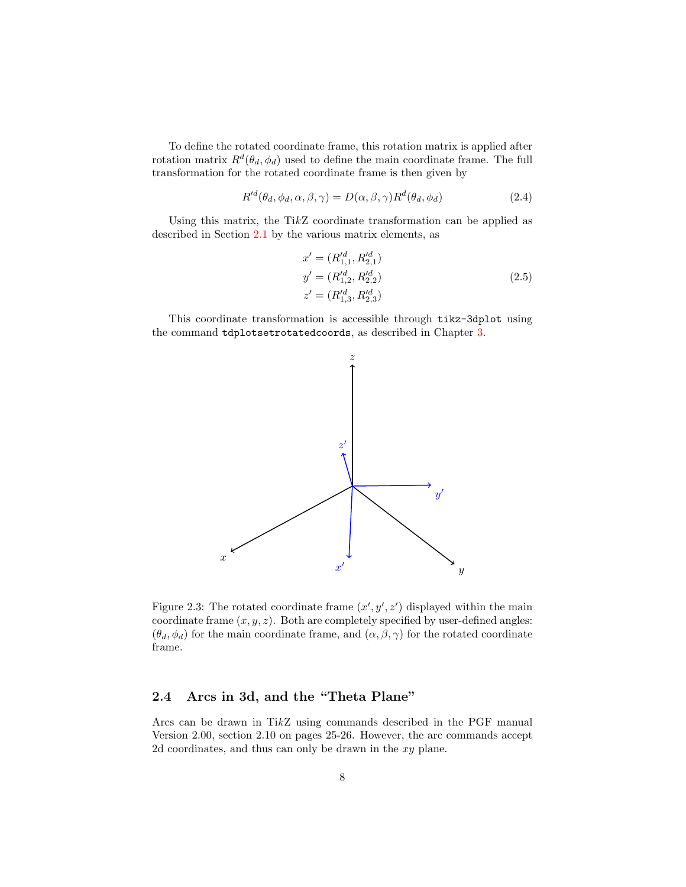To define the rotated coordinate frame, this rotation matrix is applied after rotation matrix  $R^d(\theta_d, \phi_d)$  used to define the main coordinate frame. The full transformation for the rotated coordinate frame is then given by

$$
R'^{d}(\theta_d, \phi_d, \alpha, \beta, \gamma) = D(\alpha, \beta, \gamma) R^{d}(\theta_d, \phi_d)
$$
\n(2.4)

Using this matrix, the TikZ coordinate transformation can be applied as described in Section [2.1](#page-8-1) by the various matrix elements, as

$$
x' = (R_{1,1}^{d}, R_{2,1}^{d})
$$
  
\n
$$
y' = (R_{1,2}^{d}, R_{2,2}^{d})
$$
  
\n
$$
z' = (R_{1,3}^{d}, R_{2,3}^{d})
$$
\n(2.5)

This coordinate transformation is accessible through tikz-3dplot using the command tdplotsetrotatedcoords, as described in Chapter [3.](#page-13-0)



Figure 2.3: The rotated coordinate frame  $(x', y', z')$  displayed within the main coordinate frame  $(x, y, z)$ . Both are completely specified by user-defined angles:  $(\theta_d, \phi_d)$  for the main coordinate frame, and  $(\alpha, \beta, \gamma)$  for the rotated coordinate frame.

#### <span id="page-11-0"></span>2.4 Arcs in 3d, and the "Theta Plane"

Arcs can be drawn in TikZ using commands described in the PGF manual Version 2.00, section 2.10 on pages 25-26. However, the arc commands accept 2d coordinates, and thus can only be drawn in the xy plane.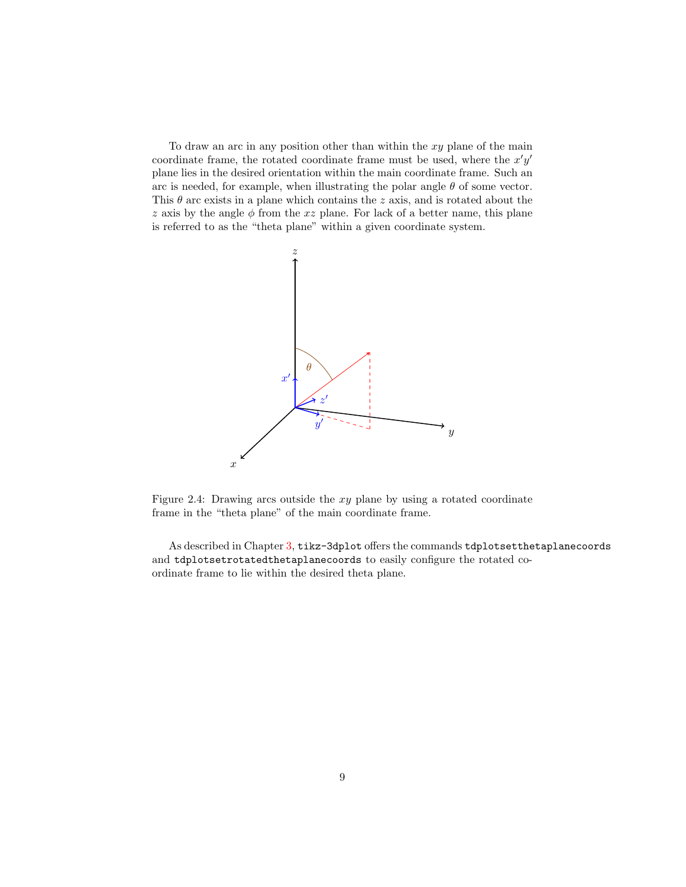To draw an arc in any position other than within the  $xy$  plane of the main coordinate frame, the rotated coordinate frame must be used, where the  $x'y'$ plane lies in the desired orientation within the main coordinate frame. Such an arc is needed, for example, when illustrating the polar angle  $\theta$  of some vector. This  $\theta$  arc exists in a plane which contains the z axis, and is rotated about the z axis by the angle  $\phi$  from the xz plane. For lack of a better name, this plane is referred to as the "theta plane" within a given coordinate system.



Figure 2.4: Drawing arcs outside the xy plane by using a rotated coordinate frame in the "theta plane" of the main coordinate frame.

As described in Chapter [3,](#page-13-0) tikz-3dplot offers the commands tdplotsetthetaplanecoords and tdplotsetrotatedthetaplanecoords to easily configure the rotated coordinate frame to lie within the desired theta plane.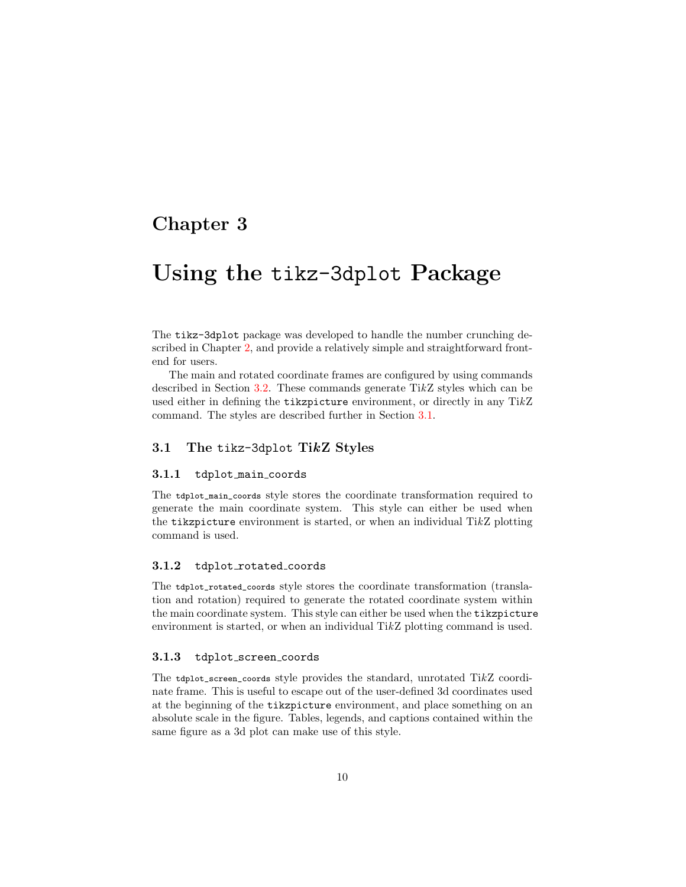### <span id="page-13-0"></span>Chapter 3

## Using the tikz-3dplot Package

The tikz-3dplot package was developed to handle the number crunching described in Chapter [2,](#page-8-0) and provide a relatively simple and straightforward frontend for users.

The main and rotated coordinate frames are configured by using commands described in Section [3.2.](#page-14-0) These commands generate  $TikZ$  styles which can be used either in defining the tikzpicture environment, or directly in any TikZ command. The styles are described further in Section [3.1.](#page-13-1)

#### <span id="page-13-1"></span>3.1 The tikz-3dplot TikZ Styles

#### <span id="page-13-2"></span>3.1.1 tdplot main coords

The tdplot\_main\_coords style stores the coordinate transformation required to generate the main coordinate system. This style can either be used when the tikzpicture environment is started, or when an individual TikZ plotting command is used.

#### <span id="page-13-3"></span>3.1.2 tdplot\_rotated\_coords

The tdplot\_rotated\_coords style stores the coordinate transformation (translation and rotation) required to generate the rotated coordinate system within the main coordinate system. This style can either be used when the tikzpicture environment is started, or when an individual TikZ plotting command is used.

#### <span id="page-13-4"></span>3.1.3 tdplot screen coords

The tdplot\_screen\_coords style provides the standard, unrotated TikZ coordinate frame. This is useful to escape out of the user-defined 3d coordinates used at the beginning of the tikzpicture environment, and place something on an absolute scale in the figure. Tables, legends, and captions contained within the same figure as a 3d plot can make use of this style.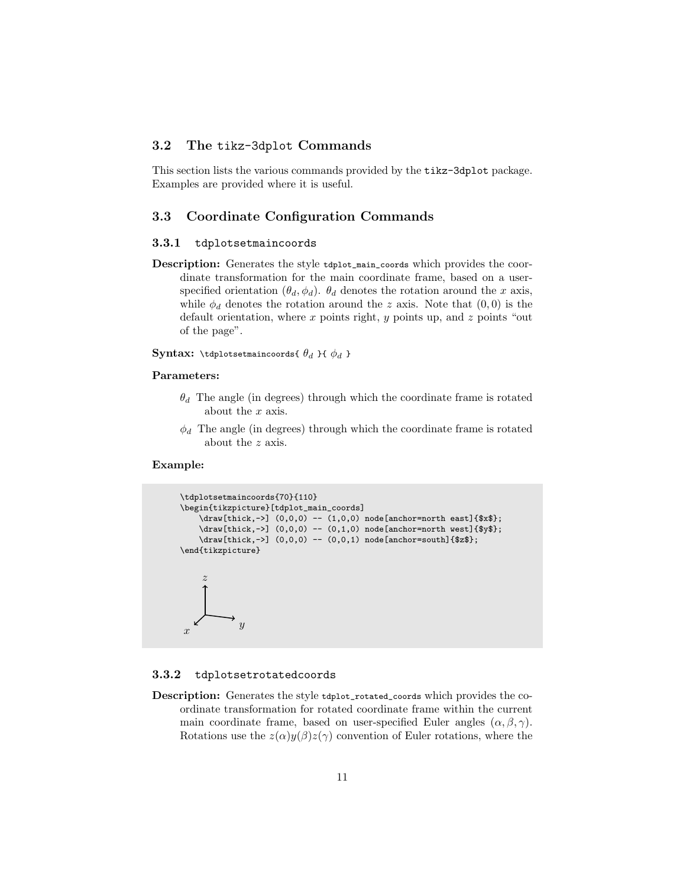#### <span id="page-14-0"></span>3.2 The tikz-3dplot Commands

This section lists the various commands provided by the tikz-3dplot package. Examples are provided where it is useful.

#### <span id="page-14-1"></span>3.3 Coordinate Configuration Commands

#### <span id="page-14-2"></span>3.3.1 tdplotsetmaincoords

Description: Generates the style tdplot\_main\_coords which provides the coordinate transformation for the main coordinate frame, based on a userspecified orientation  $(\theta_d, \phi_d)$ .  $\theta_d$  denotes the rotation around the x axis, while  $\phi_d$  denotes the rotation around the z axis. Note that  $(0,0)$  is the default orientation, where  $x$  points right,  $y$  points up, and  $z$  points "out of the page".

**Syntax:** \tdplotsetmaincoords{  $\theta_d$  }{  $\phi_d$  }

#### Parameters:

- $\theta_d$  The angle (in degrees) through which the coordinate frame is rotated about the x axis.
- $\phi_d$  The angle (in degrees) through which the coordinate frame is rotated about the z axis.

#### Example:

```
\tdplotsetmaincoords{70}{110}
\begin{tikzpicture}[tdplot_main_coords]
    \{\frac{thick, -\}\ (0, 0, 0) -- (1, 0, 0)\ \text{node} \} node[anchor=north east]{$x$};
    \dagger \draw[thick,->] (0,0,0) -- (0,1,0) node[anchor=north west]{$y$};
    \draw[thick,->] (0,0,0) -- (0,0,1) node[anchor=south]{$z$};
\end{tikzpicture}
 \boldsymbol{x}\overline{y}z
```
#### <span id="page-14-3"></span>3.3.2 tdplotsetrotatedcoords

Description: Generates the style tdplot\_rotated\_coords which provides the coordinate transformation for rotated coordinate frame within the current main coordinate frame, based on user-specified Euler angles  $(\alpha, \beta, \gamma)$ . Rotations use the  $z(\alpha)y(\beta)z(\gamma)$  convention of Euler rotations, where the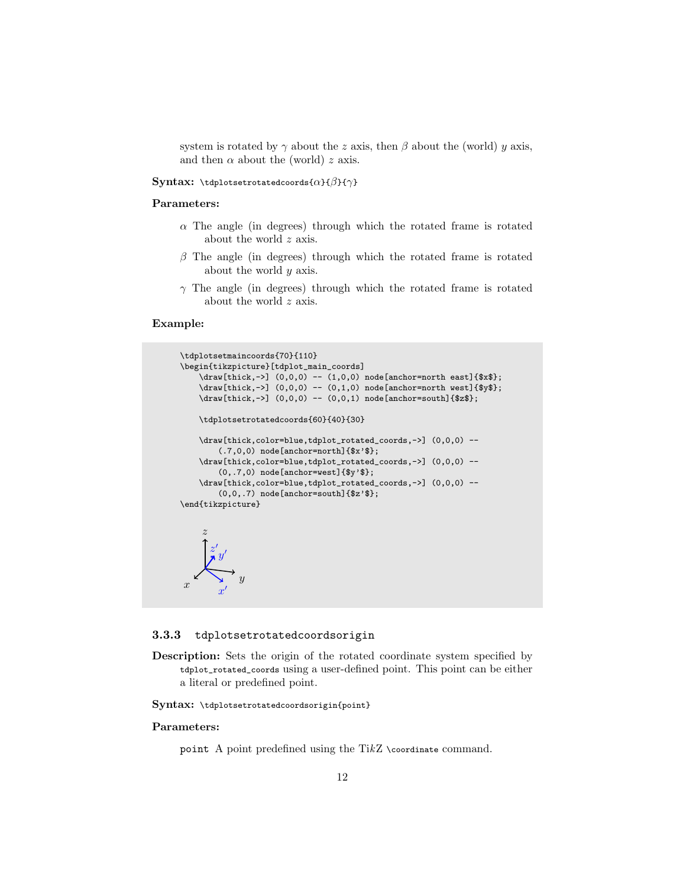system is rotated by  $\gamma$  about the z axis, then  $\beta$  about the (world) y axis, and then  $\alpha$  about the (world) z axis.

#### Syntax: \tdplotsetrotatedcoords{ $\alpha$ }{ $\beta$ }{ $\gamma$ }

#### Parameters:

- $\alpha$  The angle (in degrees) through which the rotated frame is rotated about the world z axis.
- $\beta$  The angle (in degrees) through which the rotated frame is rotated about the world y axis.
- $\gamma$  The angle (in degrees) through which the rotated frame is rotated about the world z axis.

#### Example:

```
\tdplotsetmaincoords{70}{110}
\begin{tikzpicture}[tdplot_main_coords]
    \draw[thick,->] (0,0,0) -- (1,0,0) node[anchor=north east]{$x$};
    \dagger \draw[thick,->] (0,0,0) -- (0,1,0) node[anchor=north west]{$y$};
    \draw[thick,->] (0,0,0) -- (0,0,1) node[anchor=south]{$z$};
    \tdplotsetrotatedcoords{60}{40}{30}
    \draw[thick,color=blue,tdplot_rotated_coords,->] (0,0,0) --
        (.7,0,0) node[anchor=north]{$x'$};
    \draw[thick,color=blue,tdplot_rotated_coords,->] (0,0,0) --
        (0,.7,0) node[anchor=west]{$y'$};
    \draw[thick,color=blue,tdplot_rotated_coords,->] (0,0,0) --
        (0,0,.7) node[anchor=south]{$z'$};
\end{tikzpicture}
     z
         \hat{y}z'\overline{\phantom{a}}
```
#### <span id="page-15-0"></span>3.3.3 tdplotsetrotatedcoordsorigin

 $\overline{y}$ 

 $\boldsymbol{x}$  $\overline{\phantom{a}}$ 

Description: Sets the origin of the rotated coordinate system specified by tdplot\_rotated\_coords using a user-defined point. This point can be either a literal or predefined point.

Syntax: \tdplotsetrotatedcoordsorigin{point}

#### Parameters:

 $\boldsymbol{x}$ 

point A point predefined using the Ti $kZ$  \coordinate command.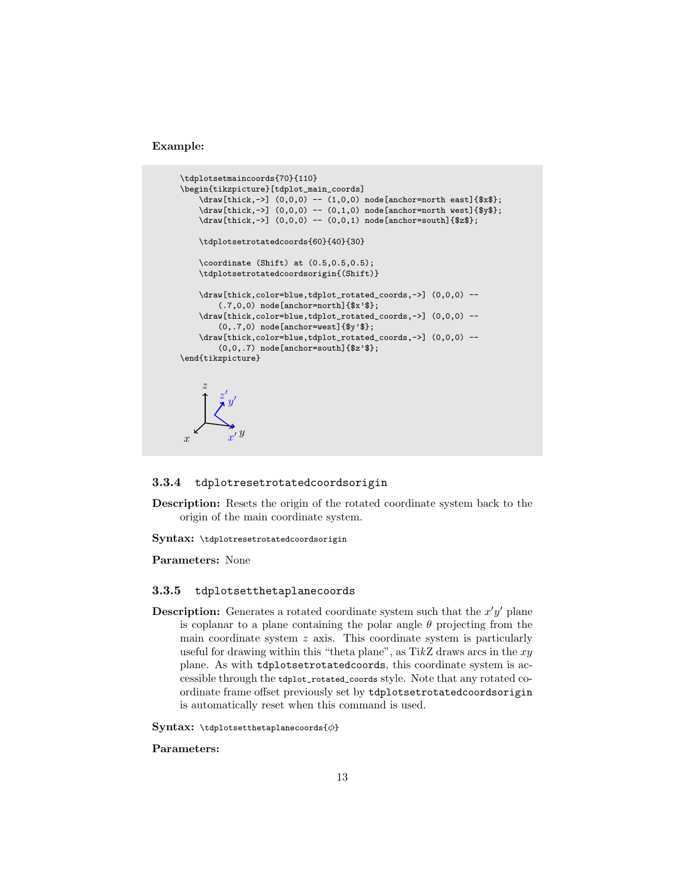Example:

```
\tdplotsetmaincoords{70}{110}
\begin{tikzpicture}[tdplot_main_coords]
    \draw[thick,->] (0,0,0) -- (1,0,0) node[anchor=north east]{$x$};
    \dagger \draw[thick,->] (0,0,0) -- (0,1,0) node[anchor=north west]{$y$};
    \draw[thick,->] (0,0,0) -- (0,0,1) node[anchor=south]{$z$};
    \tdplotsetrotatedcoords{60}{40}{30}
    \coordinate (Shift) at (0.5,0.5,0.5);
    \tdplotsetrotatedcoordsorigin{(Shift)}
    \draw[thick,color=blue,tdplot_rotated_coords,->] (0,0,0) --
         (.7,0,0) node[anchor=north]{$x'$};
    \draw[thick,color=blue,tdplot_rotated_coords,->] (0,0,0) --
         (0,.7,0) node[anchor=west]{$y'$};
    \draw[thick,color=blue,tdplot_rotated_coords,->] (0,0,0) --
         (0,0,.7) node[anchor=south]{$z'$};
\end{tikzpicture}
 \boldsymbol{x}\overline{y}z
           \boldsymbol{x}\overline{\phantom{a}}\hat{y}z'\overline{a}
```
#### <span id="page-16-0"></span>3.3.4 tdplotresetrotatedcoordsorigin

Description: Resets the origin of the rotated coordinate system back to the origin of the main coordinate system.

Syntax: \tdplotresetrotatedcoordsorigin

Parameters: None

#### <span id="page-16-1"></span>3.3.5 tdplotsetthetaplanecoords

**Description:** Generates a rotated coordinate system such that the  $x'y'$  plane is coplanar to a plane containing the polar angle  $\theta$  projecting from the main coordinate system  $z$  axis. This coordinate system is particularly useful for drawing within this "theta plane", as  $TikZ$  draws arcs in the  $xy$ plane. As with tdplotsetrotatedcoords, this coordinate system is accessible through the tdplot\_rotated\_coords style. Note that any rotated coordinate frame offset previously set by tdplotsetrotatedcoordsorigin is automatically reset when this command is used.

Syntax: \tdplotsetthetaplanecoords{ $\phi$ }

#### Parameters: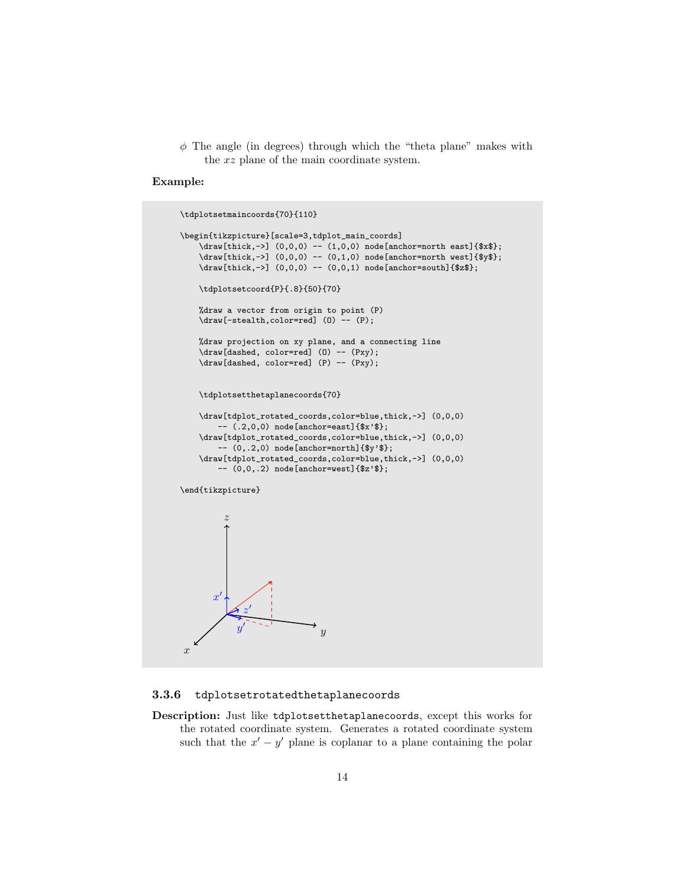$\phi$  The angle (in degrees) through which the "theta plane" makes with the xz plane of the main coordinate system.

#### Example:

```
\tdplotsetmaincoords{70}{110}
\begin{tikzpicture}[scale=3,tdplot_main_coords]
    \draw[thick,->] (0,0,0) -- (1,0,0) node[anchor=north east]{$x$};
    \draw[thick,->] (0,0,0) -- (0,1,0) node[anchor=north west]{$y$};
    \d{draw[thick,-]} (0,0,0) -- (0,0,1) node[anchor=south]{\tdplotsetcoord{P}{.8}{50}{70}
    %draw a vector from origin to point (P)
    \draw[-stealth,color=red] (O) -- (P);
    %draw projection on xy plane, and a connecting line
    \draw[dashed, color=red] (O) -- (Pxy);
    \draw[dashed, color=red] (P) -- (Pxy);
    \tdplotsetthetaplanecoords{70}
    \draw[tdplot_rotated_coords,color=blue,thick,->] (0,0,0)
        -- (.2,0,0) node[anchor=east]{$x'$};
    \draw[tdplot_rotated_coords,color=blue,thick,->] (0,0,0)
         -- (0,.2,0) node[anchor=north]{$y'$};
    \draw[tdplot_rotated_coords,color=blue,thick,->] (0,0,0)
        -- (0,0,.2) node[anchor=west]{$z'$};
\end{tikzpicture}
\hat{x}\hat{y}z
        \boldsymbol{x}\overline{\phantom{a}}\hat{y}\overline{\phantom{a}}z
                \overline{\phantom{a}}
```
#### <span id="page-17-0"></span>3.3.6 tdplotsetrotatedthetaplanecoords

Description: Just like tdplotsetthetaplanecoords, except this works for the rotated coordinate system. Generates a rotated coordinate system such that the  $x'-y'$  plane is coplanar to a plane containing the polar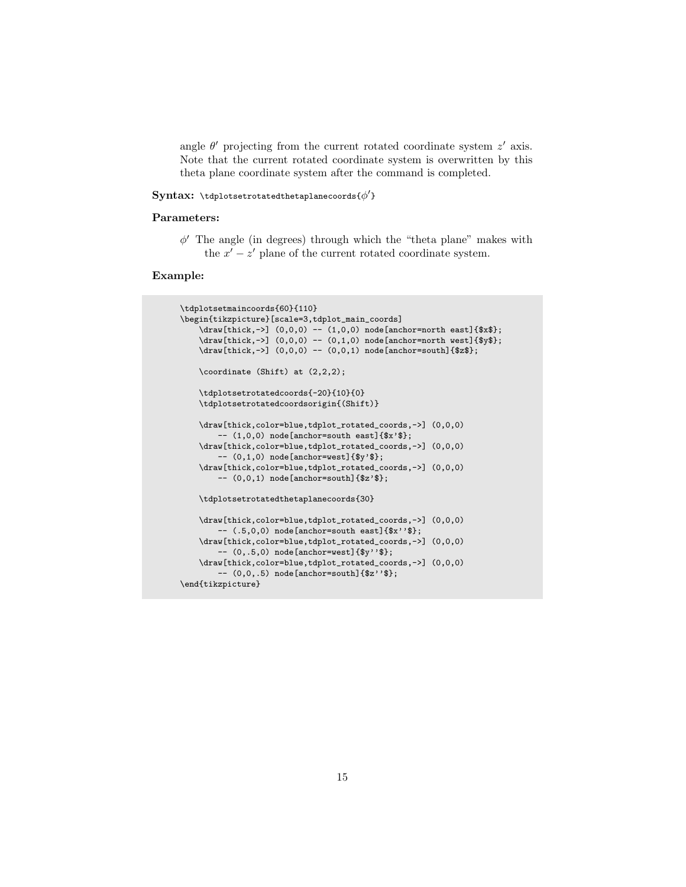angle  $\theta'$  projecting from the current rotated coordinate system  $z'$  axis. Note that the current rotated coordinate system is overwritten by this theta plane coordinate system after the command is completed.

#### $\mathbf{Sym}\mathbf{tax: } \mathsf{t}$ dplotsetrotatedthetaplanecoords $\{\phi'\}$

#### Parameters:

 $\phi'$  The angle (in degrees) through which the "theta plane" makes with the  $x' - z'$  plane of the current rotated coordinate system.

```
\tdplotsetmaincoords{60}{110}
\begin{tikzpicture}[scale=3,tdplot_main_coords]
    \draw[thick,->] (0,0,0) -- (1,0,0) node[anchor=north east]{$x$};
    \dagger \draw[thick,->] (0,0,0) -- (0,1,0) node[anchor=north west]{$y$};
    \label{thm:conv} $$\draw[thick,->] (0,0,0) -- (0,0,1) node[anchor=south]^{2*};\coordinate (Shift) at (2,2,2);
    \tdplotsetrotatedcoords{-20}{10}{0}
    \tdplotsetrotatedcoordsorigin{(Shift)}
    \draw[thick,color=blue,tdplot_rotated_coords,->] (0,0,0)
        -- (1,0,0) node[anchor=south east]{$x'$};
    \draw[thick,color=blue,tdplot_rotated_coords,->] (0,0,0)
        -- (0,1,0) node[anchor=west]{$y'$};
    \draw[thick,color=blue,tdplot_rotated_coords,->] (0,0,0)
        -- (0,0,1) node[anchor=south]{$z'$};
    \tdplotsetrotatedthetaplanecoords{30}
    \draw[thick,color=blue,tdplot_rotated_coords,->] (0,0,0)
        -- (.5,0,0) node[anchor=south east]{$x''$};
    \draw[thick,color=blue,tdplot_rotated_coords,->] (0,0,0)
        -- (0,.5,0) node[anchor=west]{$y''$};
    \draw[thick,color=blue,tdplot_rotated_coords,->] (0,0,0)
        -- (0,0,.5) node[anchor=south]{$z''$};
\end{tikzpicture}
```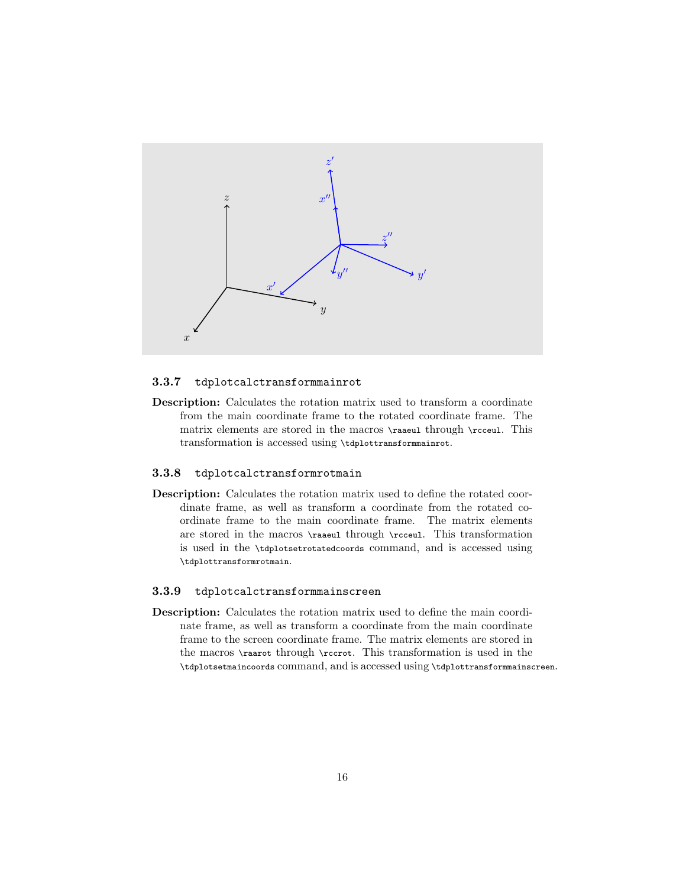

#### <span id="page-19-0"></span>3.3.7 tdplotcalctransformmainrot

Description: Calculates the rotation matrix used to transform a coordinate from the main coordinate frame to the rotated coordinate frame. The matrix elements are stored in the macros \raaeul through \rcceul. This transformation is accessed using \tdplottransformmainrot.

#### <span id="page-19-1"></span>3.3.8 tdplotcalctransformrotmain

Description: Calculates the rotation matrix used to define the rotated coordinate frame, as well as transform a coordinate from the rotated coordinate frame to the main coordinate frame. The matrix elements are stored in the macros \raaeul through \rcceul. This transformation is used in the \tdplotsetrotatedcoords command, and is accessed using \tdplottransformrotmain.

#### <span id="page-19-2"></span>3.3.9 tdplotcalctransformmainscreen

Description: Calculates the rotation matrix used to define the main coordinate frame, as well as transform a coordinate from the main coordinate frame to the screen coordinate frame. The matrix elements are stored in the macros \raarot through \rccrot. This transformation is used in the \tdplotsetmaincoords command, and is accessed using \tdplottransformmainscreen.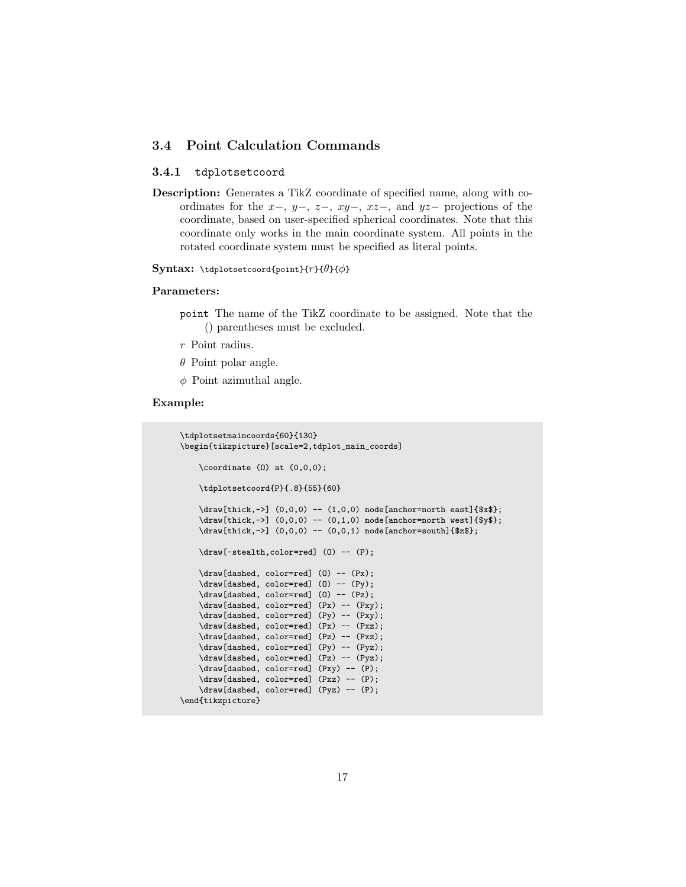#### <span id="page-20-0"></span>3.4 Point Calculation Commands

#### <span id="page-20-1"></span>3.4.1 tdplotsetcoord

Description: Generates a TikZ coordinate of specified name, along with coordinates for the  $x-$ ,  $y-$ ,  $z-$ ,  $xy-$ ,  $xz-$ , and  $yz-$  projections of the coordinate, based on user-specified spherical coordinates. Note that this coordinate only works in the main coordinate system. All points in the rotated coordinate system must be specified as literal points.

Syntax: \tdplotsetcoord{point}{ $r$ }{ $\theta$ }{ $\phi$ }

#### Parameters:

- point The name of the TikZ coordinate to be assigned. Note that the () parentheses must be excluded.
- $r\,$  Point radius.
- $\theta$  Point polar angle.
- $\phi$  Point azimuthal angle.

```
\tdplotsetmaincoords{60}{130}
\begin{tikzpicture}[scale=2,tdplot_main_coords]
    \text{coordinate} (0) at (0,0,0);
    \tdplotsetcoord{P}{.8}{55}{60}
    \draw[thick,->] (0,0,0) -- (1,0,0) node[anchor=north east]{$x$};
    \draw[thick,->] (0,0,0) -- (0,1,0) node[anchor=north west]{$y$};
    \draw[thick,->] (0,0,0) -- (0,0,1) node[anchor=south]{$z$};
    \draw[-stealth,color=red] (O) -- (P);
    \draw[dashed, color=red] (0) -- (Px);
    \draw[dashed, color=red] (O) -- (Py);
    \draw[dashed, color=red] (O) -- (Pz);
    \draw[dashed, color=red] (Px) -- (Pxy);
    \draw[dashed, color=red] (Py) -- (Pxy);
    \draw[dashed, color=red] (Px) -- (Pxz);
    \draw[dashed, color=red] (Pz) -- (Pxz);
    \draw[dashed, color=red] (Py) -- (Pyz);
    \draw[dashed, color=red] (Pz) -- (Pyz);
    \draw[dashed, color=red] (Pxy) -- (P);
    \draw[dashed, color=red] (Pxz) -- (P);
    \draw[dashed, color=red] (Pyz) -- (P);
\end{tikzpicture}
```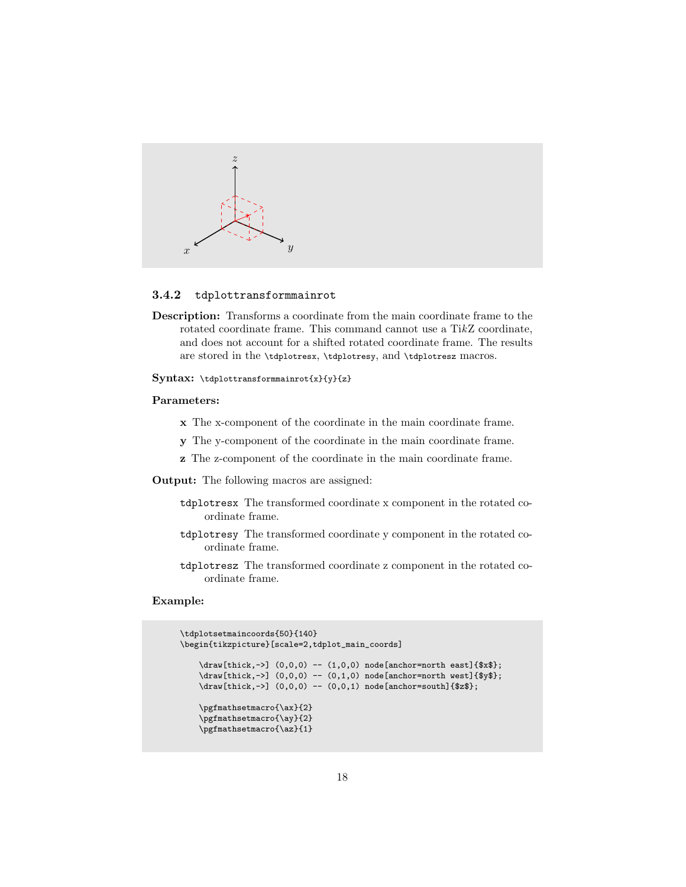

#### <span id="page-21-0"></span>3.4.2 tdplottransformmainrot

Description: Transforms a coordinate from the main coordinate frame to the rotated coordinate frame. This command cannot use a TikZ coordinate, and does not account for a shifted rotated coordinate frame. The results are stored in the \tdplotresx, \tdplotresy, and \tdplotresz macros.

#### Syntax: \tdplottransformmainrot{x}{y}{z}

#### Parameters:

- x The x-component of the coordinate in the main coordinate frame.
- y The y-component of the coordinate in the main coordinate frame.
- z The z-component of the coordinate in the main coordinate frame.
- Output: The following macros are assigned:
	- tdplotresx The transformed coordinate x component in the rotated coordinate frame.
	- tdplotresy The transformed coordinate y component in the rotated coordinate frame.
	- tdplotresz The transformed coordinate z component in the rotated coordinate frame.

```
\tdplotsetmaincoords{50}{140}
\begin{tikzpicture}[scale=2,tdplot_main_coords]
    \d{draw[thick,-]} (0,0,0) -- (1,0,0) node[anchor=north east]{\draw[thick,->] (0,0,0) -- (0,1,0) node[anchor=north west]{$y$};
    \label{thm:conv} $$\draw[thick,->] (0,0,0) -- (0,0,1) node[anchor=south]^{2*};\pgfmathsetmacro{\ax}{2}
    \pgfmathsetmacro{\ay}{2}
    \pgfmathsetmacro{\az}{1}
```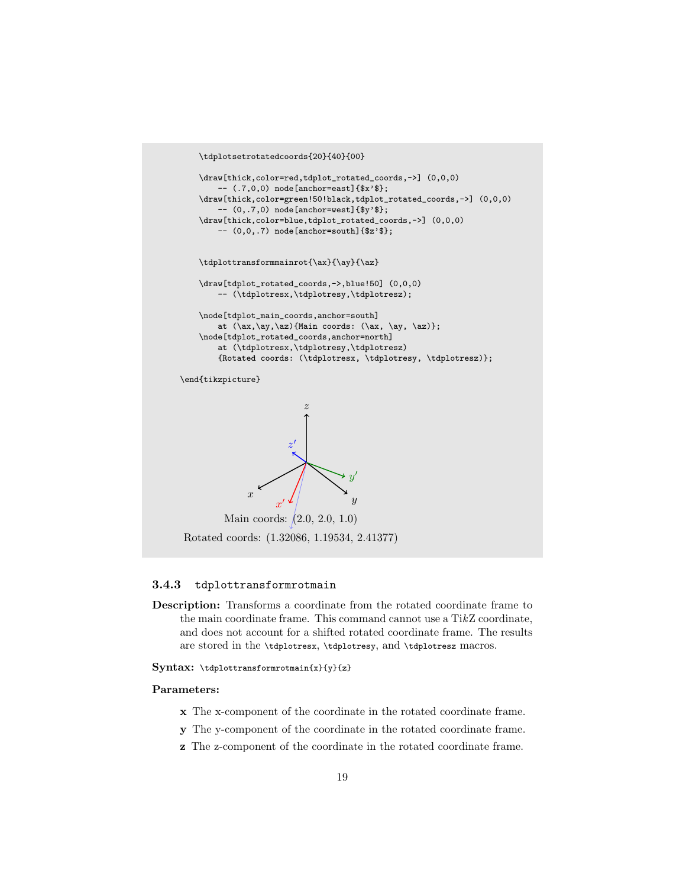```
\tdplotsetrotatedcoords{20}{40}{00}
    \draw[thick,color=red,tdplot_rotated_coords,->] (0,0,0)
         -- (.7,0,0) node[anchor=east]{$x'$};
    \draw[thick,color=green!50!black,tdplot_rotated_coords,->] (0,0,0)
         -- (0,.7,0) node[anchor=west]{$y'$};
    \draw[thick,color=blue,tdplot_rotated_coords,->] (0,0,0)
         -- (0,0,.7) node[anchor=south]{$z'$};
    \tdplottransformmainrot{\ax}{\ay}{\az}
    \draw[tdplot_rotated_coords,->,blue!50] (0,0,0)
         -- (\tdplotresx,\tdplotresy,\tdplotresz);
    \node[tdplot_main_coords,anchor=south]
         at (\ax,\ay,\az){Main coords: (\ax, \ay, \az)};
    \node[tdplot_rotated_coords,anchor=north]
         at (\tdplotresx,\tdplotresy,\tdplotresz)
         {Rotated coords: (\tdplotresx, \tdplotresy, \tdplotresz)};
\end{tikzpicture}
                \hat{x}\boldsymbol{y}z
                       \boldsymbol{x}\overline{\phantom{a}}\overline{u}\overline{\phantom{a}}z
                            \overline{\phantom{a}}Main coords: (2.0, 2.0, 1.0)
```
## Rotated coords: (1.32086, 1.19534, 2.41377)

#### <span id="page-22-0"></span>3.4.3 tdplottransformrotmain

Description: Transforms a coordinate from the rotated coordinate frame to the main coordinate frame. This command cannot use a TikZ coordinate, and does not account for a shifted rotated coordinate frame. The results are stored in the \tdplotresx, \tdplotresy, and \tdplotresz macros.

#### Syntax: \tdplottransformrotmain{x}{y}{z}

#### Parameters:

- x The x-component of the coordinate in the rotated coordinate frame.
- y The y-component of the coordinate in the rotated coordinate frame.
- z The z-component of the coordinate in the rotated coordinate frame.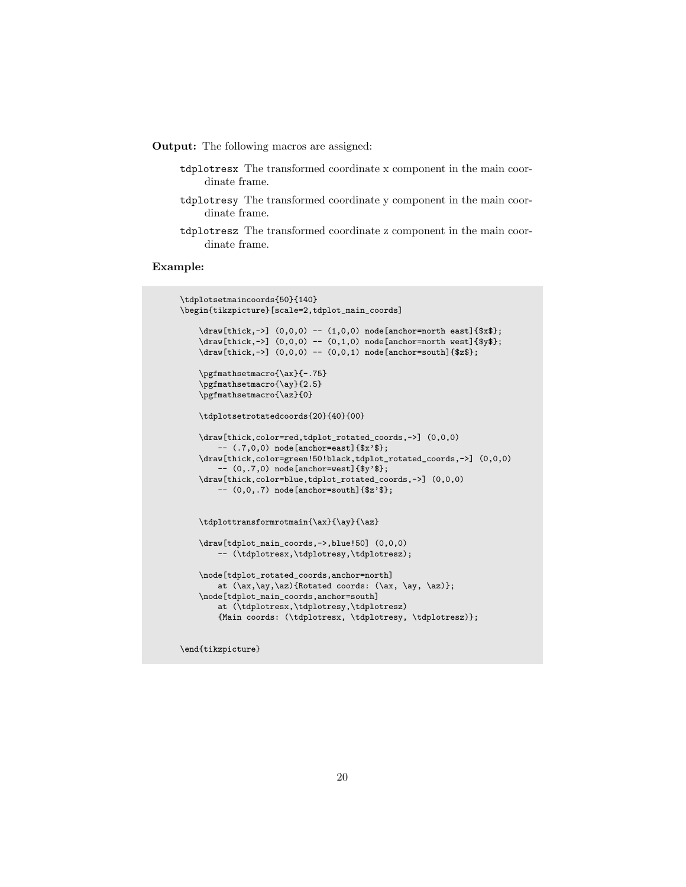Output: The following macros are assigned:

- tdplotresx The transformed coordinate x component in the main coordinate frame.
- tdplotresy The transformed coordinate y component in the main coordinate frame.
- tdplotresz The transformed coordinate z component in the main coordinate frame.

#### Example:

```
\tdplotsetmaincoords{50}{140}
\begin{tikzpicture}[scale=2,tdplot_main_coords]
    \draw[thick,->] (0,0,0) -- (1,0,0) node[anchor=north east]{$x$};
    \draw[thick,->] (0,0,0) -- (0,1,0) node[anchor=north west]{$y$};
    \d{draw[thick,-]} (0,0,0) -- (0,0,1) node[anchor=south]{\pgfmathsetmacro{\ax}{-.75}
    \pgfmathsetmacro{\ay}{2.5}
    \pgfmathsetmacro{\az}{0}
    \tdplotsetrotatedcoords{20}{40}{00}
    \draw[thick,color=red,tdplot_rotated_coords,->] (0,0,0)
        -- (.7,0,0) node[anchor=east]{$x'$};
    \draw[thick,color=green!50!black,tdplot_rotated_coords,->] (0,0,0)
        -- (0,.7,0) node[anchor=west]{$y'$};
    \draw[thick,color=blue,tdplot_rotated_coords,->] (0,0,0)
        -- (0,0,.7) node[anchor=south]{$z'$};
    \tdplottransformrotmain{\ax}{\ay}{\az}
    \draw[tdplot_main_coords,->,blue!50] (0,0,0)
        -- (\tdplotresx,\tdplotresy,\tdplotresz);
    \node[tdplot_rotated_coords,anchor=north]
        at (\ax,\ay,\az){Rotated coords: (\ax, \ay, \az)};
    \node[tdplot_main_coords,anchor=south]
        at (\tdplotresx,\tdplotresy,\tdplotresz)
        {Main coords: (\tdplotresx, \tdplotresy, \tdplotresz)};
```
\end{tikzpicture}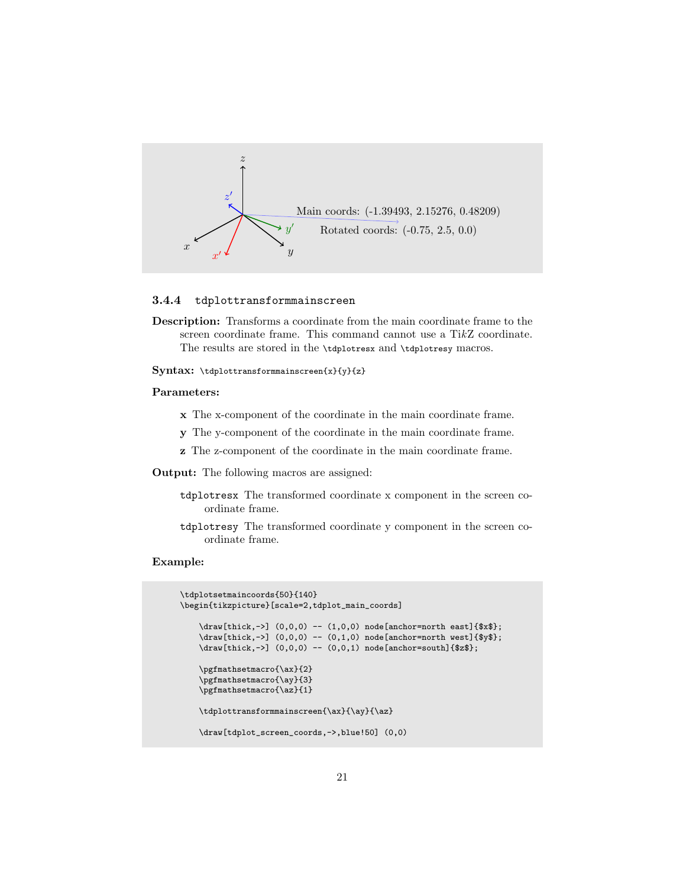

#### <span id="page-24-0"></span>3.4.4 tdplottransformmainscreen

Description: Transforms a coordinate from the main coordinate frame to the screen coordinate frame. This command cannot use a TikZ coordinate. The results are stored in the \tdplotresx and \tdplotresy macros.

Syntax: \tdplottransformmainscreen{x}{y}{z}

#### Parameters:

- x The x-component of the coordinate in the main coordinate frame.
- y The y-component of the coordinate in the main coordinate frame.
- z The z-component of the coordinate in the main coordinate frame.
- Output: The following macros are assigned:
	- tdplotresx The transformed coordinate x component in the screen coordinate frame.
	- tdplotresy The transformed coordinate y component in the screen coordinate frame.

```
\tdplotsetmaincoords{50}{140}
\begin{tikzpicture}[scale=2,tdplot_main_coords]
    \draw[thick,->] (0,0,0) -- (1,0,0) node[anchor=north east]{$x$};
    \draw[thick,->] (0,0,0) -- (0,1,0) node[anchor=north west]{$y$};
    \dagger \draw[thick,->] (0,0,0) -- (0,0,1) node[anchor=south]{$z$};
    \pgfmathsetmacro{\ax}{2}
    \pgfmathsetmacro{\ay}{3}
    \pgfmathsetmacro{\az}{1}
    \tdplottransformmainscreen{\ax}{\ay}{\az}
    \draw[tdplot_screen_coords,->,blue!50] (0,0)
```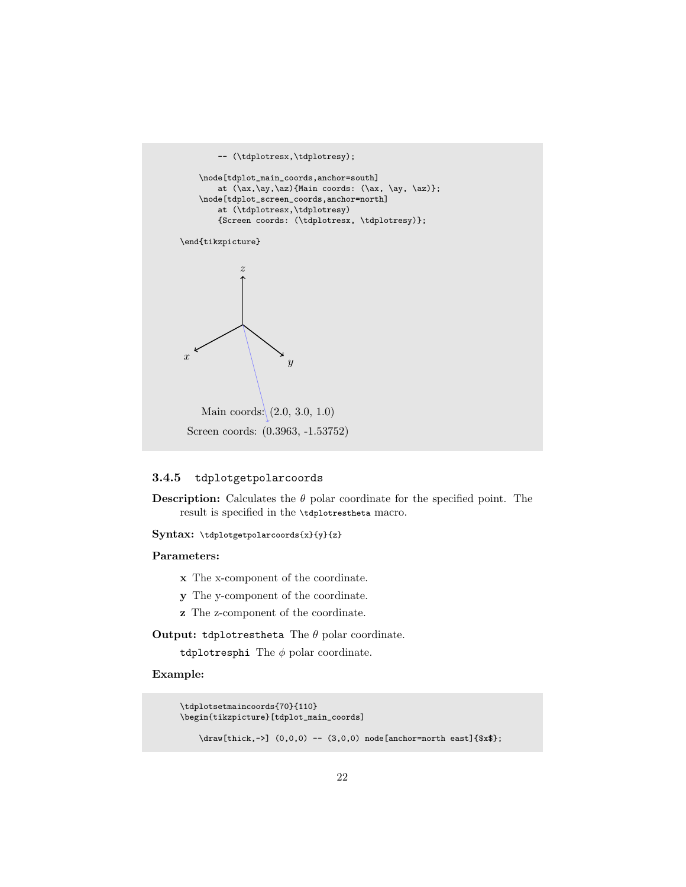

#### <span id="page-25-0"></span>3.4.5 tdplotgetpolarcoords

**Description:** Calculates the  $\theta$  polar coordinate for the specified point. The result is specified in the \tdplotrestheta macro.

Syntax: \tdplotgetpolarcoords{x}{y}{z}

#### Parameters:

- x The x-component of the coordinate.
- y The y-component of the coordinate.
- z The z-component of the coordinate.

**Output:** tdplotrestheta The  $\theta$  polar coordinate.

tdplotresphi The  $\phi$  polar coordinate.

```
\tdplotsetmaincoords{70}{110}
\begin{tikzpicture}[tdplot_main_coords]
    \d{draw[thick, ->]} (0,0,0) -- (3,0,0) node[anchor=north east]{$x$};
```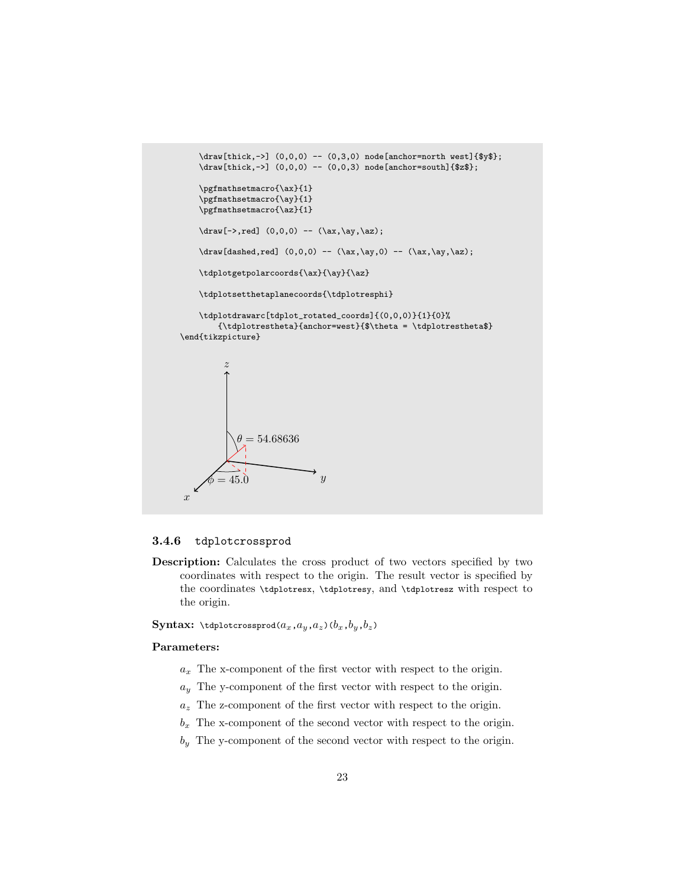```
\draw[thick,->] (0,0,0) -- (0,3,0) node[anchor=north west]{$y$};
    \frac{t}{t}(x, -) (0,0,0) -- (0,0,3) node[anchor=south]{$z$};
    \pgfmathsetmacro{\ax}{1}
    \pgfmathsetmacro{\ay}{1}
    \pgfmathsetmacro{\az}{1}
    \d{raw[->},red] (0,0,0) -- (\ax,\ay,\az);
    \draw[dashed,red] (0,0,0) -- (\ax, \ay, 0) -- (\ax, \ay, \az);
    \tdplotgetpolarcoords{\ax}{\ay}{\az}
    \tdplotsetthetaplanecoords{\tdplotresphi}
    \tdplotdrawarc[tdplot_rotated_coords]{(0,0,0)}{1}{0}%
        \label{thm:main} $$ \tdplotrestheta}{\anchor=west}{\theta = \tdplotrestheta\end{tikzpicture}
\gamma\overline{y}z
      \phi = 45.0\theta = 54.68636
```
#### <span id="page-26-0"></span>3.4.6 tdplotcrossprod

Description: Calculates the cross product of two vectors specified by two coordinates with respect to the origin. The result vector is specified by the coordinates \tdplotresx, \tdplotresy, and \tdplotresz with respect to the origin.

**Syntax:** \tdplotcrossprod $(a_x, a_y, a_z)(b_x, b_y, b_z)$ 

#### Parameters:

- $a_x$  The x-component of the first vector with respect to the origin.
- $a_y$  The y-component of the first vector with respect to the origin.
- $a_z$  The z-component of the first vector with respect to the origin.
- $b_x$  The x-component of the second vector with respect to the origin.
- $b<sub>y</sub>$  The y-component of the second vector with respect to the origin.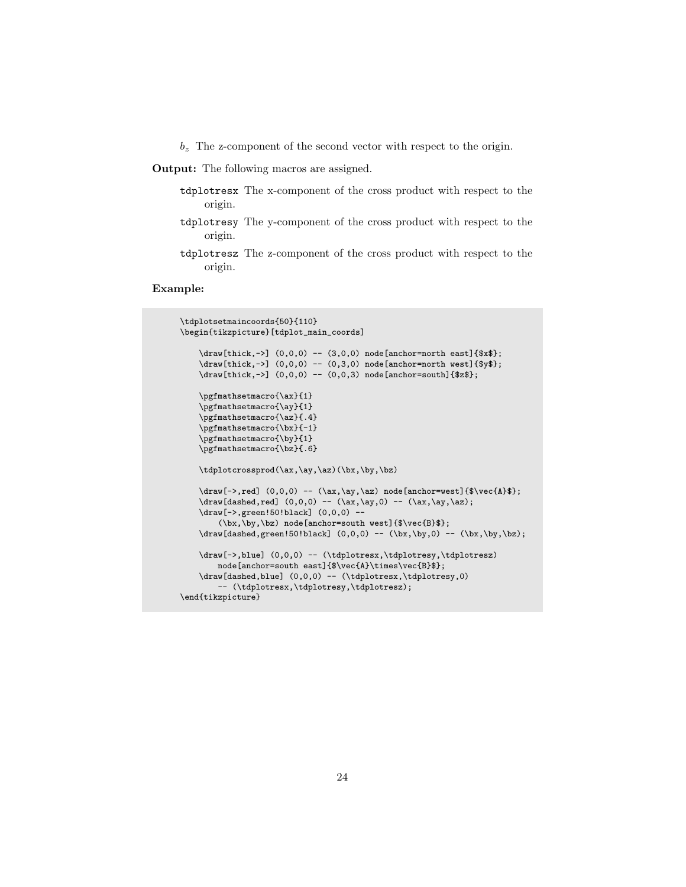- $b_z$  The z-component of the second vector with respect to the origin.
- Output: The following macros are assigned.
	- tdplotresx The x-component of the cross product with respect to the origin.
	- tdplotresy The y-component of the cross product with respect to the origin.
	- tdplotresz The z-component of the cross product with respect to the origin.

```
\tdplotsetmaincoords{50}{110}
\begin{tikzpicture}[tdplot_main_coords]
     \d{draw[thick,-]} (0,0,0) -- (3,0,0) node[anchor=north east]{$x$};
     \draw[thick,->] (0,0,0) -- (0,3,0) node[anchor=north west]{$y$};
     \draw[thick,->] (0,0,0) -- (0,0,3) node[anchor=south]{$z$};
     \pgfmathsetmacro{\ax}{1}
     \pgfmathsetmacro{\ay}{1}
     \pgfmathsetmacro{\az}{.4}
     \pgfmathsetmacro{\bx}{-1}
     \pgfmathsetmacro{\by}{1}
     \pgfmathsetmacro{\bz}{.6}
     \tdplotcrossprod(\ax,\ay,\az)(\bx,\by,\bz)
     \dred] (0,0,0) -- (\ax,\ay,\az) node[anchor=west]{$\vec{A}$};
     \draw[dashed,red] (0,0,0) -- (\ax, \ay, 0) -- (\ax, \ay, \az);
     \draw[->,green!50!black] (0,0,0) --
            (\bx,\by,\bz) node[anchor=south west]{$\vec{B}$};
     \label{dual} $$\d{a}\n \d{dashed,green!50!\,black} (0,0,0) -- (\bx,\by,0) -- (\bx,\by,\by\).\draw[->,blue] (0,0,0) -- (\tdplotresx,\tdplotresy,\tdplotresz)
           \label{thm:main} \begin{array}{ll} \texttt{abs}(\mathbb{B}^{\ast}) \texttt{abs}(\mathbb{B}^{\ast}) \texttt{abs}(\mathbb{B}^{\ast}) \texttt{abs}(\mathbb{B}^{\ast}) \texttt{abs}(\mathbb{B}^{\ast}) \texttt{abs}(\mathbb{B}^{\ast}) \texttt{abs}(\mathbb{B}^{\ast}) \texttt{abs}(\mathbb{B}^{\ast}) \texttt{abs}(\mathbb{B}^{\ast}) \texttt{abs}(\mathbb{B}^{\ast}) \texttt{abs}(\mathbb{B}^{\ast}) \texttt{abs}(\mathbb{B}^{\ast}) \texttt{abs}(\mathbb{B}^\draw[dashed,blue] (0,0,0) -- (\tdplotresx,\tdplotresy,0)
           -- (\tdplotresx,\tdplotresy,\tdplotresz);
\end{tikzpicture}
```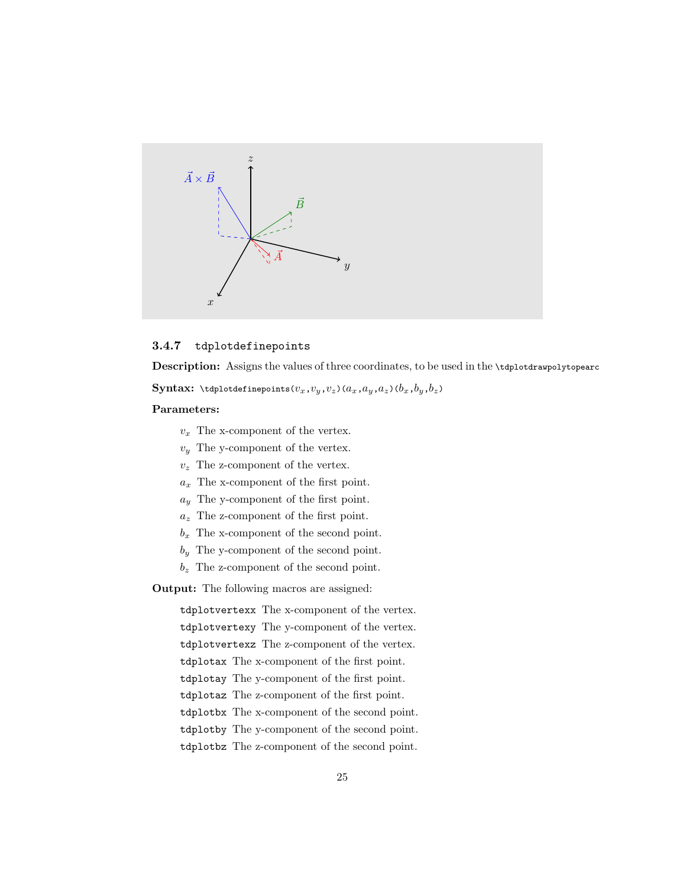

#### <span id="page-28-0"></span>3.4.7 tdplotdefinepoints

Description: Assigns the values of three coordinates, to be used in the \tdplotdrawpolytopearc

Syntax: \tdplotdefinepoints( $v_x, v_y, v_z$ )( $a_x, a_y, a_z$ )( $b_x, b_y, b_z$ )

#### Parameters:

- $v_x$  The x-component of the vertex.
- $v_y$  The y-component of the vertex.
- $v_z$  The z-component of the vertex.
- $a_x$  The x-component of the first point.
- $a_y$  The y-component of the first point.
- $a_z$  The z-component of the first point.
- $b_x$  The x-component of the second point.
- $b_y$  The y-component of the second point.
- $b_z$  The z-component of the second point.

Output: The following macros are assigned:

tdplotvertexx The x-component of the vertex. tdplotvertexy The y-component of the vertex. tdplotvertexz The z-component of the vertex. tdplotax The x-component of the first point. tdplotay The y-component of the first point. tdplotaz The z-component of the first point. tdplotbx The x-component of the second point. tdplotby The y-component of the second point. tdplotbz The z-component of the second point.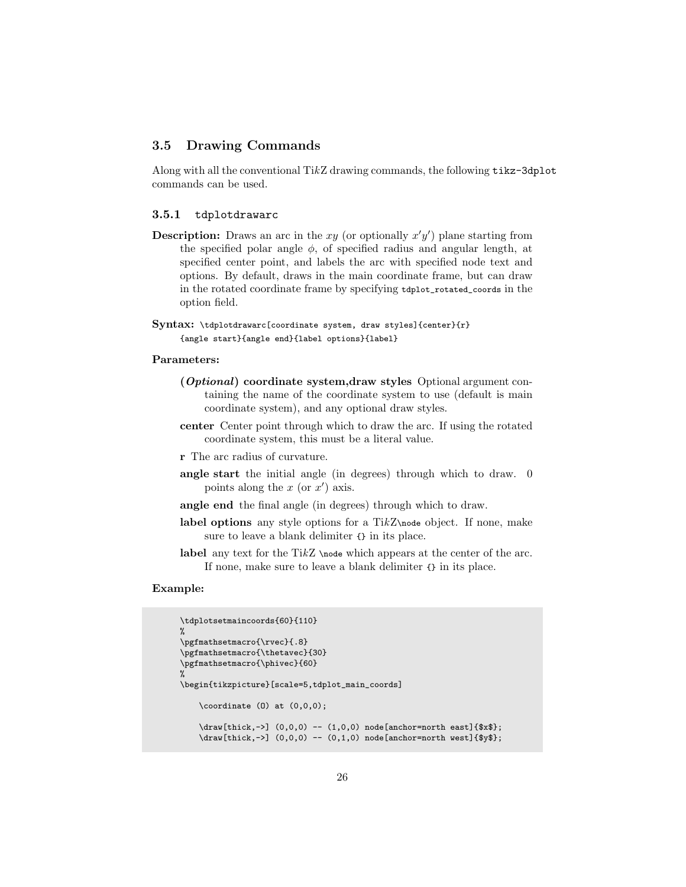#### <span id="page-29-0"></span>3.5 Drawing Commands

Along with all the conventional TikZ drawing commands, the following tikz-3dplot commands can be used.

#### <span id="page-29-1"></span>3.5.1 tdplotdrawarc

- **Description:** Draws an arc in the xy (or optionally  $x'y'$ ) plane starting from the specified polar angle  $\phi$ , of specified radius and angular length, at specified center point, and labels the arc with specified node text and options. By default, draws in the main coordinate frame, but can draw in the rotated coordinate frame by specifying tdplot\_rotated\_coords in the option field.
- Syntax: \tdplotdrawarc[coordinate system, draw styles]{center}{r} {angle start}{angle end}{label options}{label}

#### Parameters:

- (Optional) coordinate system,draw styles Optional argument containing the name of the coordinate system to use (default is main coordinate system), and any optional draw styles.
- center Center point through which to draw the arc. If using the rotated coordinate system, this must be a literal value.
- r The arc radius of curvature.
- angle start the initial angle (in degrees) through which to draw. 0 points along the  $x$  (or  $x'$ ) axis.
- angle end the final angle (in degrees) through which to draw.
- label options any style options for a Ti $kZ\$ <sub>node</sub> object. If none, make sure to leave a blank delimiter {} in its place.
- label any text for the TikZ \node which appears at the center of the arc. If none, make sure to leave a blank delimiter {} in its place.

```
\tdplotsetmaincoords{60}{110}
%
\pgfmathsetmacro{\rvec}{.8}
\pgfmathsetmacro{\thetavec}{30}
\pgfmathsetmacro{\phivec}{60}
%
\begin{tikzpicture}[scale=5,tdplot_main_coords]
    \text{coordinate} (0) \text{ at } (0,0,0);\draw[thick,->] (0,0,0) -- (1,0,0) node[anchor=north east]{$x$};
    \dagger \draw[thick,->] (0,0,0) -- (0,1,0) node[anchor=north west]{$y$};
```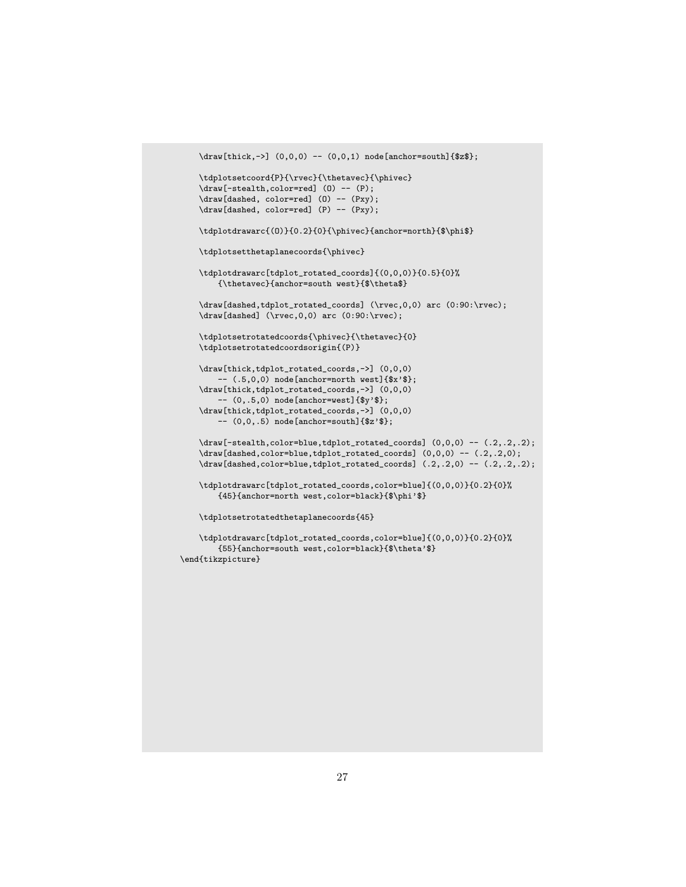```
\d{raw[thick,-]} (0,0,0) -- (0,0,1) node[anchor=south]{\tdplotsetcoord{P}{\rvec}{\thetavec}{\phivec}
\draw[-stealth,color=red] (O) -- (P);
\draw[dashed, color=red] (0) -- (Pxy);
\draw[dashed, color=red] (P) -- (Pxy);
\tdplotdrawarc{(0)}{0.2}{0}{\phivec}{anchor=north}{$\phi$}
\tdplotsetthetaplanecoords{\phivec}
\tdplotdrawarc[tdplot_rotated_coords]{(0,0,0)}{0.5}{0}%
   {\thetavec}{anchor=south west}{$\theta$}
\draw[dashed,tdplot_rotated_coords] (\rvec,0,0) arc (0:90:\rvec);
\draw[dashed] (\rvec,0,0) arc (0:90:\rvec);
\tdplotsetrotatedcoords{\phivec}{\thetavec}{0}
\tdplotsetrotatedcoordsorigin{(P)}
\draw[thick,tdplot_rotated_coords,->] (0,0,0)
   -- (.5,0,0) node[anchor=north west]{$x'$};
\draw[thick,tdplot_rotated_coords,->] (0,0,0)
    -- (0,.5,0) node[anchor=west]{$y'$};
\draw[thick,tdplot_rotated_coords,->] (0,0,0)-- (0,0,.5) node[anchor=south]{$z'$};
\draw[-stealth,color=blue,tdplot_rotated_coords] (0,0,0) -- (.2,.2,.2);
\draw[dashed,color=blue,tdplot_rotated_coords] (0,0,0) -- (.2,.2,0);\draw[dashed,color=blue,tdplot_rotated_coords] (.2,.2,0) -- (.2,.2,.2);
\tdplotdrawarc[tdplot_rotated_coords,color=blue]{(0,0,0)}{0.2}{0}%
    {45}{anchor=north west,color=black}{$\phi'$}
\tdplotsetrotatedthetaplanecoords{45}
\tdplotdrawarc[tdplot_rotated_coords,color=blue]{(0,0,0)}{0.2}{0}%
    {55}{anchor=south west,color=black}{$\theta'$}
```
\end{tikzpicture}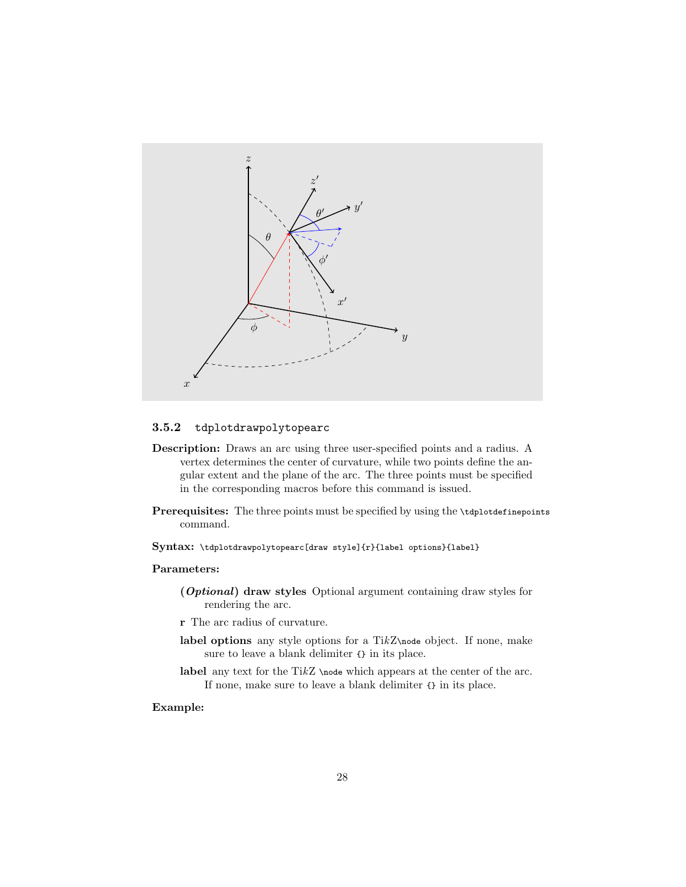

#### <span id="page-31-0"></span>3.5.2 tdplotdrawpolytopearc

- Description: Draws an arc using three user-specified points and a radius. A vertex determines the center of curvature, while two points define the angular extent and the plane of the arc. The three points must be specified in the corresponding macros before this command is issued.
- Prerequisites: The three points must be specified by using the \tdplotdefinepoints command.

Syntax: \tdplotdrawpolytopearc[draw style]{r}{label options}{label}

#### Parameters:

- (Optional) draw styles Optional argument containing draw styles for rendering the arc.
- r The arc radius of curvature.
- label options any style options for a TikZ\node object. If none, make sure to leave a blank delimiter {} in its place.
- label any text for the TikZ \node which appears at the center of the arc. If none, make sure to leave a blank delimiter {} in its place.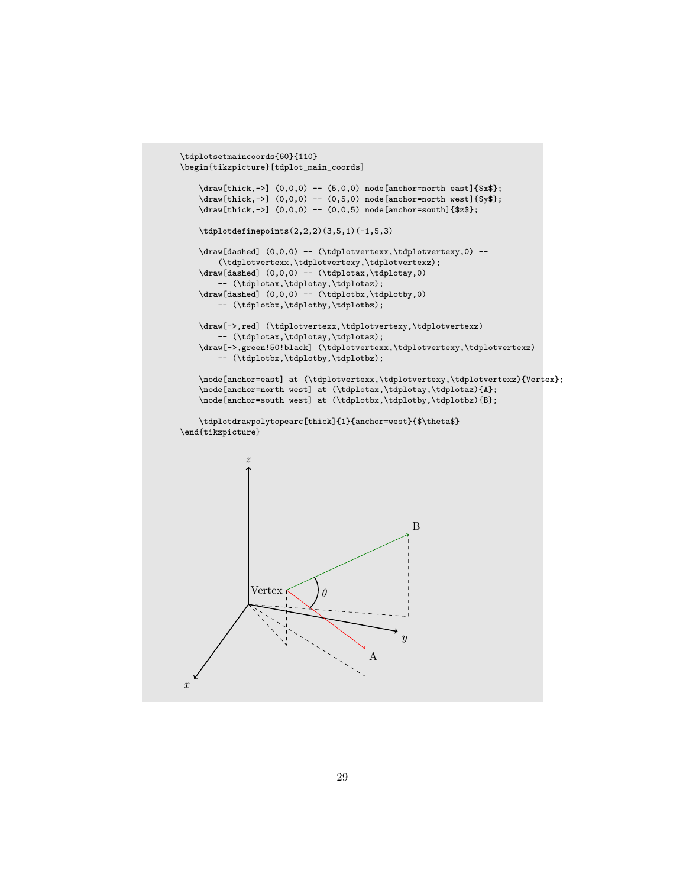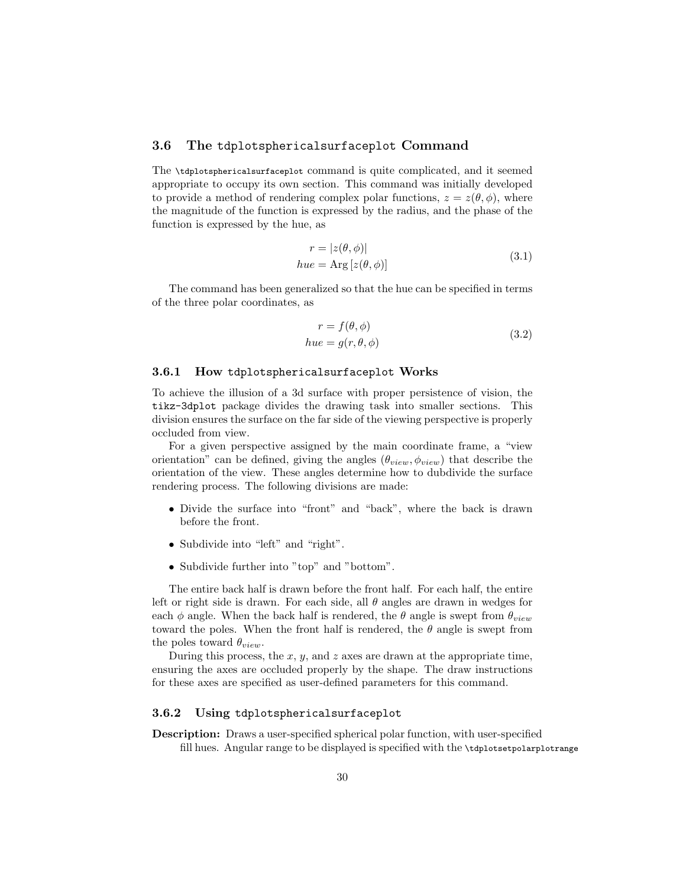#### <span id="page-33-0"></span>3.6 The tdplotsphericalsurfaceplot Command

The \tdplotsphericalsurfaceplot command is quite complicated, and it seemed appropriate to occupy its own section. This command was initially developed to provide a method of rendering complex polar functions,  $z = z(\theta, \phi)$ , where the magnitude of the function is expressed by the radius, and the phase of the function is expressed by the hue, as

$$
r = |z(\theta, \phi)|
$$
  
 
$$
hue = \text{Arg}[z(\theta, \phi)]
$$
 (3.1)

The command has been generalized so that the hue can be specified in terms of the three polar coordinates, as

$$
r = f(\theta, \phi)
$$
  
have =  $g(r, \theta, \phi)$  (3.2)

#### <span id="page-33-1"></span>3.6.1 How tdplotsphericalsurfaceplot Works

To achieve the illusion of a 3d surface with proper persistence of vision, the tikz-3dplot package divides the drawing task into smaller sections. This division ensures the surface on the far side of the viewing perspective is properly occluded from view.

For a given perspective assigned by the main coordinate frame, a "view orientation" can be defined, giving the angles  $(\theta_{view}, \phi_{view})$  that describe the orientation of the view. These angles determine how to dubdivide the surface rendering process. The following divisions are made:

- Divide the surface into "front" and "back", where the back is drawn before the front.
- Subdivide into "left" and "right".
- Subdivide further into "top" and "bottom".

The entire back half is drawn before the front half. For each half, the entire left or right side is drawn. For each side, all  $\theta$  angles are drawn in wedges for each  $\phi$  angle. When the back half is rendered, the  $\theta$  angle is swept from  $\theta_{view}$ toward the poles. When the front half is rendered, the  $\theta$  angle is swept from the poles toward  $\theta_{view}$ .

During this process, the x, y, and z axes are drawn at the appropriate time, ensuring the axes are occluded properly by the shape. The draw instructions for these axes are specified as user-defined parameters for this command.

#### <span id="page-33-2"></span>3.6.2 Using tdplotsphericalsurfaceplot

Description: Draws a user-specified spherical polar function, with user-specified fill hues. Angular range to be displayed is specified with the \tdplotsetpolarplotrange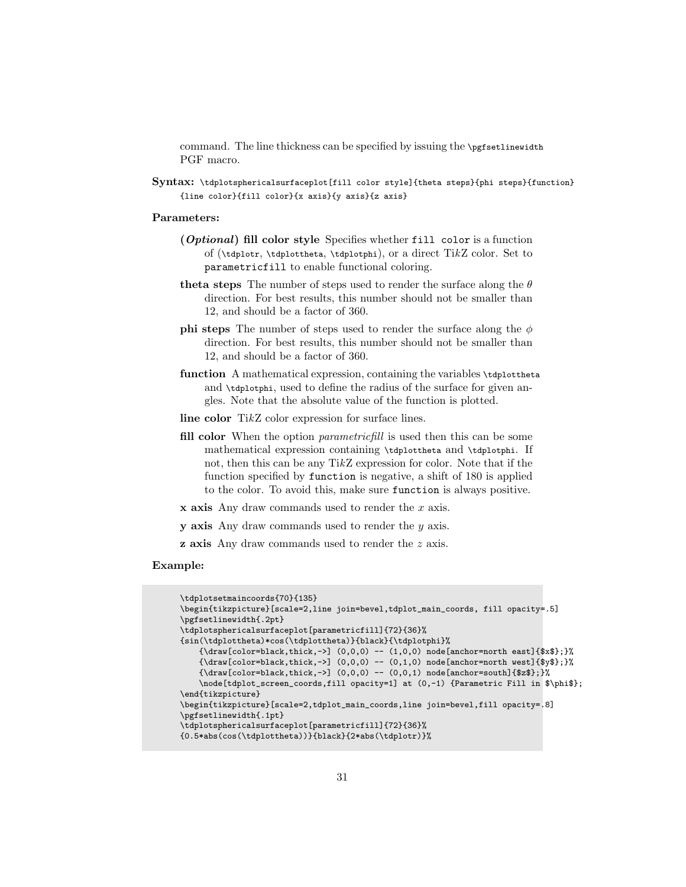command. The line thickness can be specified by issuing the \pgfsetlinewidth PGF macro.

Syntax: \tdplotsphericalsurfaceplot[fill color style]{theta steps}{phi steps}{function} {line color}{fill color}{x axis}{y axis}{z axis}

#### Parameters:

- (Optional) fill color style Specifies whether fill color is a function of (\tdplotr, \tdplottheta, \tdplotphi), or a direct TikZ color. Set to parametricfill to enable functional coloring.
- theta steps The number of steps used to render the surface along the  $\theta$ direction. For best results, this number should not be smaller than 12, and should be a factor of 360.
- **phi steps** The number of steps used to render the surface along the  $\phi$ direction. For best results, this number should not be smaller than 12, and should be a factor of 360.
- function A mathematical expression, containing the variables \tdplottheta and \tdplotphi, used to define the radius of the surface for given angles. Note that the absolute value of the function is plotted.
- line color TikZ color expression for surface lines.
- fill color When the option *parametricfill* is used then this can be some mathematical expression containing \tdplottheta and \tdplotphi. If not, then this can be any TikZ expression for color. Note that if the function specified by function is negative, a shift of 180 is applied to the color. To avoid this, make sure function is always positive.
- $x$  axis Any draw commands used to render the  $x$  axis.
- y axis Any draw commands used to render the y axis.
- z axis Any draw commands used to render the z axis.

```
\tdplotsetmaincoords{70}{135}
\begin{tikzpicture}[scale=2,line join=bevel,tdplot_main_coords, fill opacity=.5]
\pgfsetlinewidth{.2pt}
\tdplotsphericalsurfaceplot[parametricfill]{72}{36}%
{sin(\tdplottheta)*cos(\tdplottheta)}{black}{\tdplotphi}%
   {\langle}\draw[color=black,thick,->] (0,0,0) -- (1,0,0) node[anchor=north east]{$x$};}%
    {\draw[color=black,thick,->] (0,0,0) -- (0,1,0) node[anchor=north west]{$y$};}%
    {\draw[color=black,thick,->] (0,0,0) -- (0,0,1) node[anchor=south]{$z$};}%
   \node[tdplot_screen_coords,fill opacity=1] at (0,-1) {Parametric Fill in $\phi$};
\end{tikzpicture}
\begin{tikzpicture}[scale=2,tdplot_main_coords,line join=bevel,fill opacity=.8]
\pgfsetlinewidth{.1pt}
\tdplotsphericalsurfaceplot[parametricfill]{72}{36}%
{0.5*abs(cos(\tdplottheta))}{black}{2*abs(\tdplotr)}%
```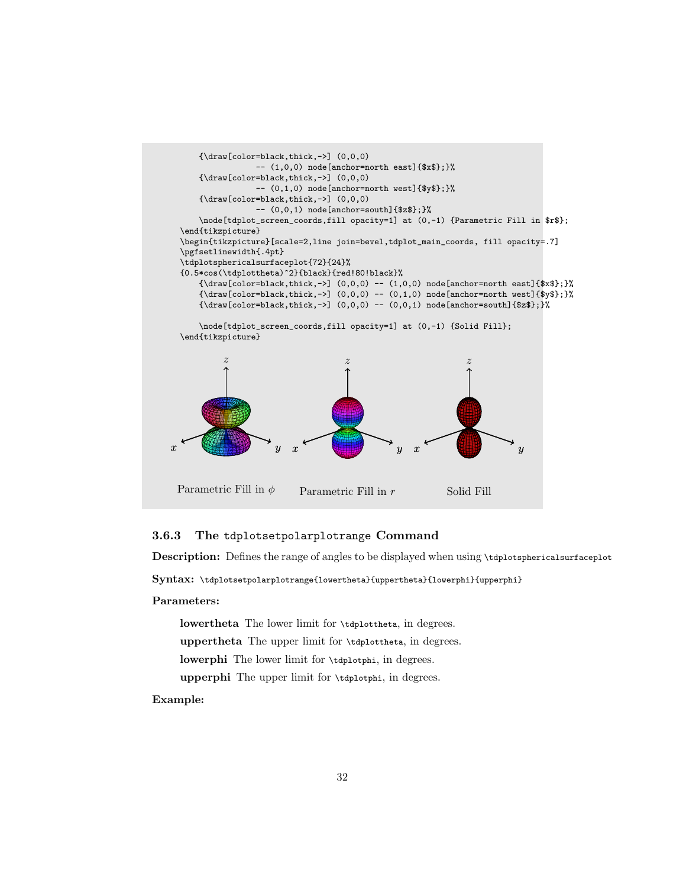

#### <span id="page-35-0"></span>3.6.3 The tdplotsetpolarplotrange Command

Description: Defines the range of angles to be displayed when using \tdplotsphericalsurfaceplot

Syntax: \tdplotsetpolarplotrange{lowertheta}{uppertheta}{lowerphi}{upperphi}

#### Parameters:

lowertheta The lower limit for \tdplottheta, in degrees. uppertheta The upper limit for \tdplottheta, in degrees. lowerphi The lower limit for \tdplotphi, in degrees. upperphi The upper limit for \tdplotphi, in degrees.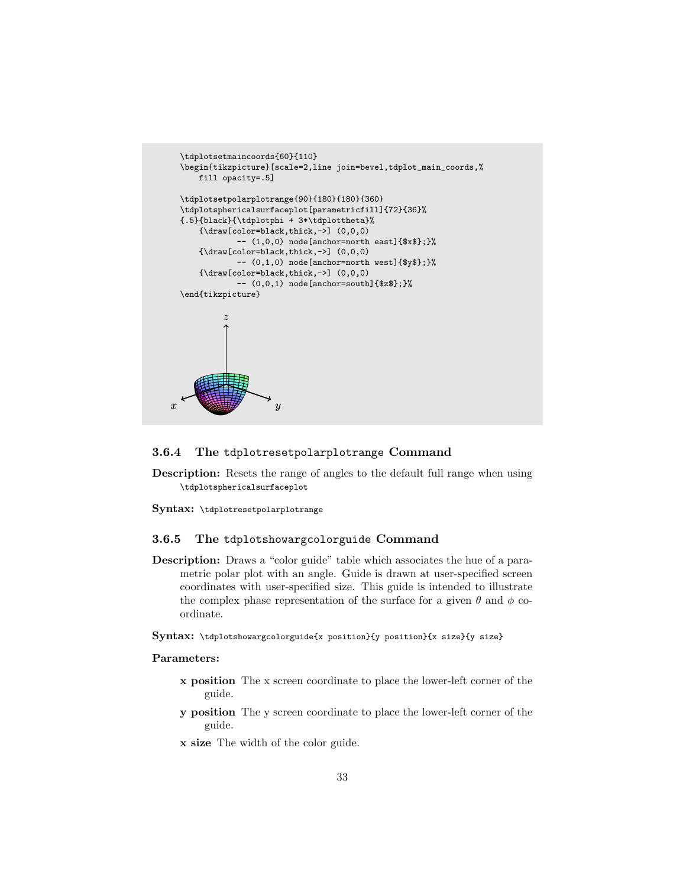```
\tdplotsetmaincoords{60}{110}
 \begin{tikzpicture}[scale=2,line join=bevel,tdplot_main_coords,%
     fill opacity=.5]
 \tdplotsetpolarplotrange{90}{180}{180}{360}
 \tdplotsphericalsurfaceplot[parametricfill]{72}{36}%
 {.5}{black}{\tdplotphi + 3*\tdplottheta}%
     {\varaw[color=black,thick,->]} (0,0,0)-- (1,0,0) node[anchor=north east]{$x$};}%
     {\dagger} (0,0,0)
             -- (0,1,0) node[anchor=north west]{$y$};}%
     {\draw[color=black,thick,->] (0,0,0)
              -- (0,0,1) node[anchor=south]{$z$};}%
 \end{tikzpicture}
          z
x \qquad y
```
#### <span id="page-36-0"></span>3.6.4 The tdplotresetpolarplotrange Command

Description: Resets the range of angles to the default full range when using \tdplotsphericalsurfaceplot

Syntax: \tdplotresetpolarplotrange

#### <span id="page-36-1"></span>3.6.5 The tdplotshowargcolorguide Command

Description: Draws a "color guide" table which associates the hue of a parametric polar plot with an angle. Guide is drawn at user-specified screen coordinates with user-specified size. This guide is intended to illustrate the complex phase representation of the surface for a given  $\theta$  and  $\phi$  coordinate.

#### Syntax: \tdplotshowargcolorguide{x position}{y position}{x size}{y size}

#### Parameters:

- x position The x screen coordinate to place the lower-left corner of the guide.
- y position The y screen coordinate to place the lower-left corner of the guide.
- x size The width of the color guide.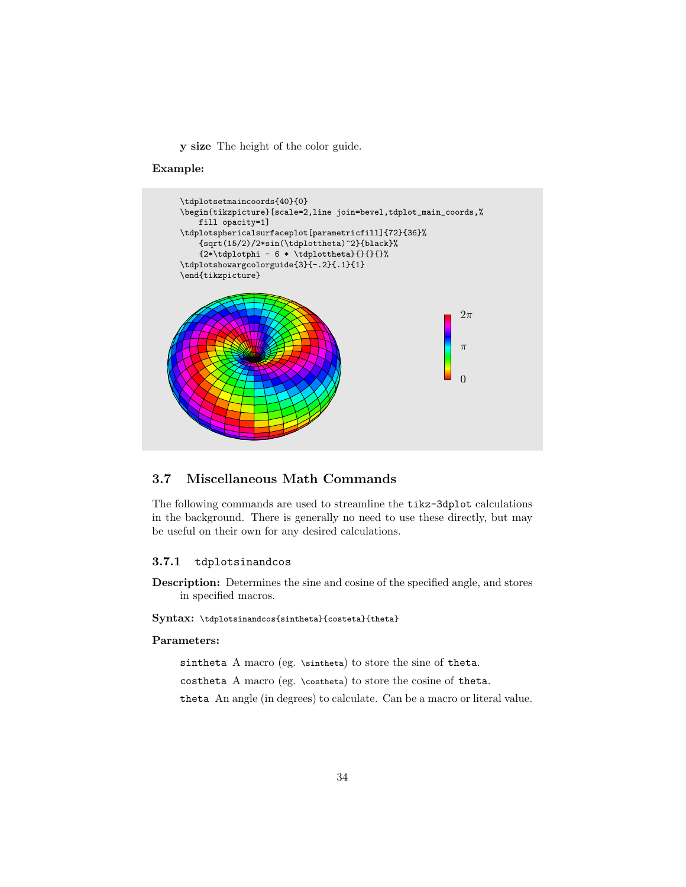y size The height of the color guide.

#### Example:



#### <span id="page-37-0"></span>3.7 Miscellaneous Math Commands

The following commands are used to streamline the tikz-3dplot calculations in the background. There is generally no need to use these directly, but may be useful on their own for any desired calculations.

#### <span id="page-37-1"></span>3.7.1 tdplotsinandcos

Description: Determines the sine and cosine of the specified angle, and stores in specified macros.

#### Syntax: \tdplotsinandcos{sintheta}{costeta}{theta}

#### Parameters:

sintheta A macro (eg. \sintheta) to store the sine of theta.

costheta A macro (eg. \costheta) to store the cosine of theta.

theta An angle (in degrees) to calculate. Can be a macro or literal value.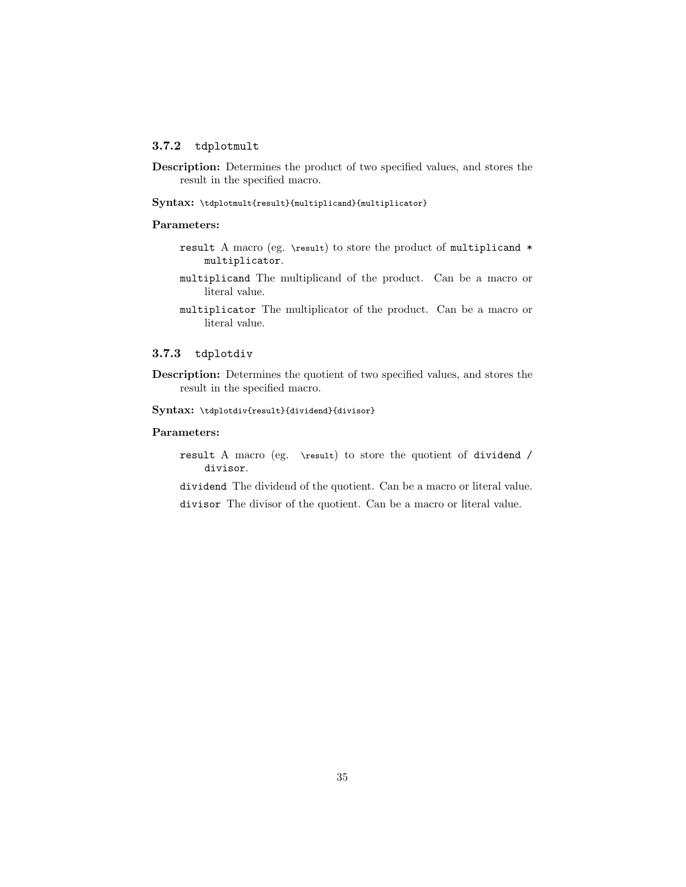#### <span id="page-38-0"></span>3.7.2 tdplotmult

Description: Determines the product of two specified values, and stores the result in the specified macro.

Syntax: \tdplotmult{result}{multiplicand}{multiplicator}

#### Parameters:

- result A macro (eg. \result) to store the product of multiplicand \* multiplicator.
- multiplicand The multiplicand of the product. Can be a macro or literal value.
- multiplicator The multiplicator of the product. Can be a macro or literal value.

#### <span id="page-38-1"></span>3.7.3 tdplotdiv

Description: Determines the quotient of two specified values, and stores the result in the specified macro.

Syntax: \tdplotdiv{result}{dividend}{divisor}

#### Parameters:

result A macro (eg. \result) to store the quotient of dividend / divisor.

dividend The dividend of the quotient. Can be a macro or literal value.

divisor The divisor of the quotient. Can be a macro or literal value.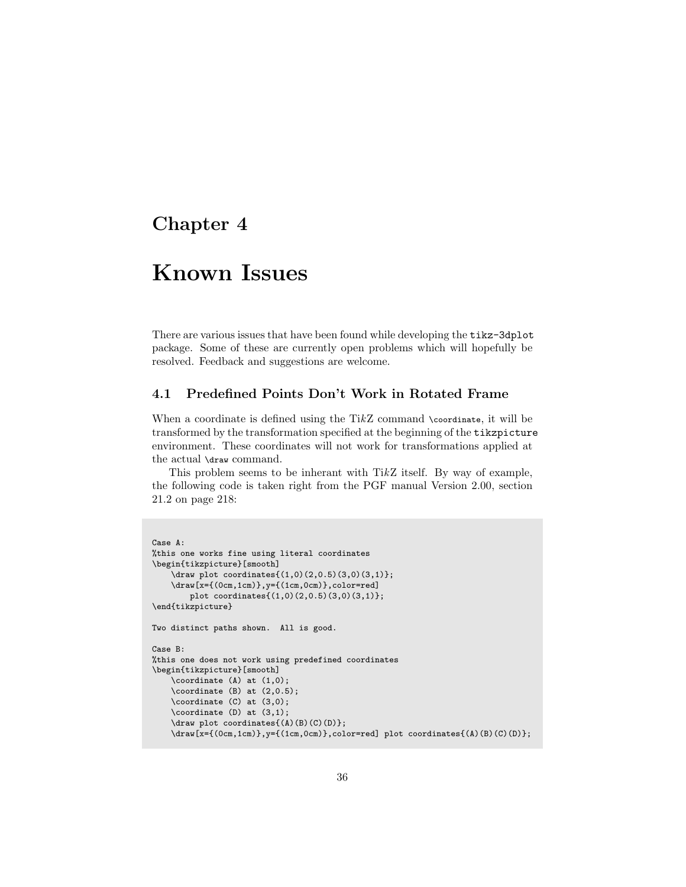### <span id="page-39-0"></span>Chapter 4

### Known Issues

There are various issues that have been found while developing the tikz-3dplot package. Some of these are currently open problems which will hopefully be resolved. Feedback and suggestions are welcome.

#### <span id="page-39-1"></span>4.1 Predefined Points Don't Work in Rotated Frame

When a coordinate is defined using the TikZ command \coordinate, it will be transformed by the transformation specified at the beginning of the tikzpicture environment. These coordinates will not work for transformations applied at the actual \draw command.

This problem seems to be inherant with TikZ itself. By way of example, the following code is taken right from the PGF manual Version 2.00, section 21.2 on page 218:

```
Case A:
%this one works fine using literal coordinates
\begin{tikzpicture}[smooth]
    \draw plot coordinates{(1,0)(2,0.5)(3,0)(3,1)};
    \draw[x={(0cm,1cm)},y={(1cm,0cm)},color=red]
        plot coordinates{(1,0)(2,0.5)(3,0)(3,1)};
\end{tikzpicture}
Two distinct paths shown. All is good.
Case B:
%this one does not work using predefined coordinates
\begin{tikzpicture}[smooth]
    \coordinate (A) at (1,0);
    \coordinate (B) at (2,0.5);
    \coordinate (C) at (3,0);
    \coordinate (D) at (3,1);
    \label{eq:convolution} $$ \d\text{plot coordinates}(A)(B)(C)(D)};\draw[x={(0cm,1cm)},y={(1cm,0cm)},color=red] plot coordinates{(A)(B)(C)(D)};
```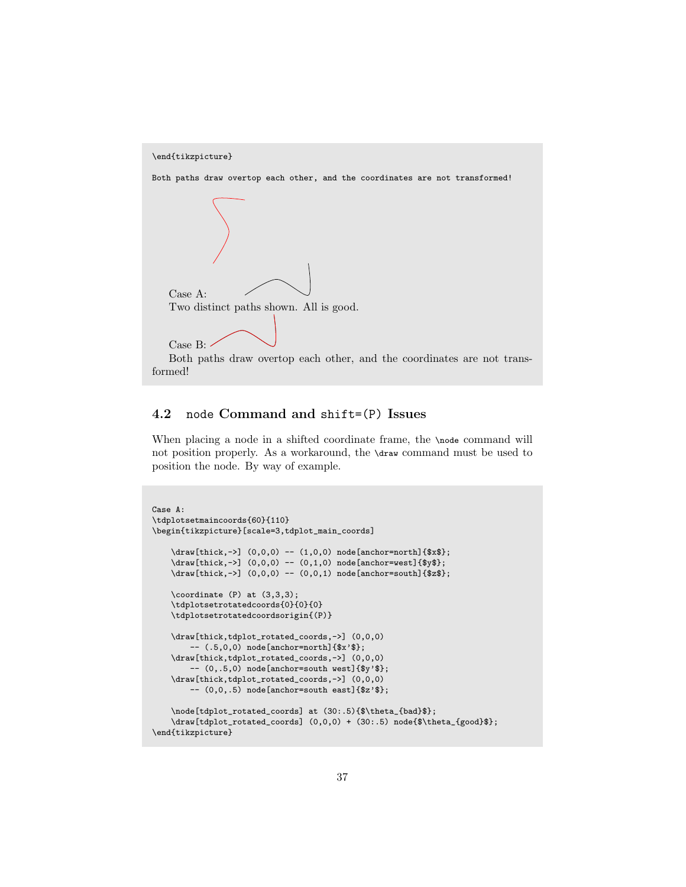

#### <span id="page-40-0"></span>4.2 node Command and shift=(P) Issues

When placing a node in a shifted coordinate frame, the \node command will not position properly. As a workaround, the \draw command must be used to position the node. By way of example.

```
Case A:
\tdplotsetmaincoords{60}{110}
\begin{tikzpicture}[scale=3,tdplot_main_coords]
    \draw[thick,->] (0,0,0) -- (1,0,0) node[anchor=north]{$x$};
    \label{thm:conv} $$\draw[thick,->] (0,0,0) -- (0,1,0) node[anchor=west]_{\$y$};\draw[thick,->] (0,0,0) -- (0,0,1) node[anchor=south]{$z$};
    \text{coordinate} (P) at (3,3,3);
    \tdplotsetrotatedcoords{0}{0}{0}
    \tdplotsetrotatedcoordsorigin{(P)}
    \draw[thick,tdplot_rotated_coords,->] (0,0,0)
        -- (.5,0,0) node[anchor=north]{$x'$};
    \draw[thick,tdplot_rotated_coords,->] (0,0,0)
        -(- (0,.5,0) node[anchor=south west]{$y'$};
    \draw[thick,tdplot_rotated_coords,->] (0,0,0)
        -- (0,0,.5) node[anchor=south east]{$z'$};
    \node[tdplot_rotated_coords] at (30:.5){$\theta_{bad}$};
    \draw[tdplot_rotated_coords] (0,0,0) + (30:.5) node{$\theta_{good}$};
\end{tikzpicture}
```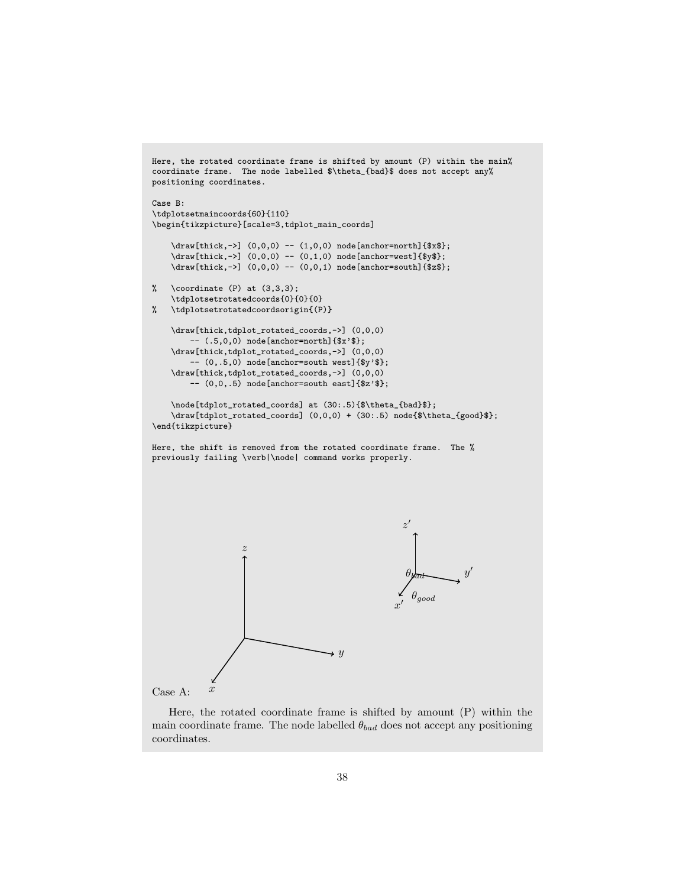```
Here, the rotated coordinate frame is shifted by amount (P) within the main%
coordinate frame. The node labelled $\theta_{bad}$ does not accept any%
positioning coordinates.
Case B:
\tdplotsetmaincoords{60}{110}
\begin{tikzpicture}[scale=3,tdplot_main_coords]
    \draw[thick,->] (0,0,0) -- (1,0,0) node[anchor=north]{$x$};
    \draw[thick,->] (0,0,0) -- (0,1,0) node[anchor=west]{$y$};
    \draw[thick,->] (0,0,0) -- (0,0,1) node[anchor=south]{$z$};
% \coordinate (P) at (3,3,3);
    \tdplotsetrotatedcoords{0}{0}{0}
% \tdplotsetrotatedcoordsorigin{(P)}
    \draw[thick,tdplot_rotated_coords,->] (0,0,0)
        -- (.5,0,0) node[anchor=north]{$x'$};
    \draw[thick,tdplot_rotated_coords,->] (0,0,0)
        -- (0,.5,0) node[anchor=south west]{$y'$};
    \draw[thick,tdplot_rotated_coords,->] (0,0,0)
        -- (0,0,.5) node[anchor=south east]{$z'$};
    \node[tdplot_rotated_coords] at (30:.5){ \theta_{bad}$};
    \draw[tdplot_rotated_coords] (0,0,0) + (30:.5) node{$\theta_{good}$};
\end{tikzpicture}
Here, the shift is removed from the rotated coordinate frame. The %
previously failing \verb|\node| command works properly.
                                       \rightarrow yz
                                                      \boldsymbol{x}\overline{a}y^{\prime}z'\theta\theta_{good}
```
Case A:  $x$ 

Here, the rotated coordinate frame is shifted by amount (P) within the main coordinate frame. The node labelled  $\theta_{bad}$  does not accept any positioning coordinates.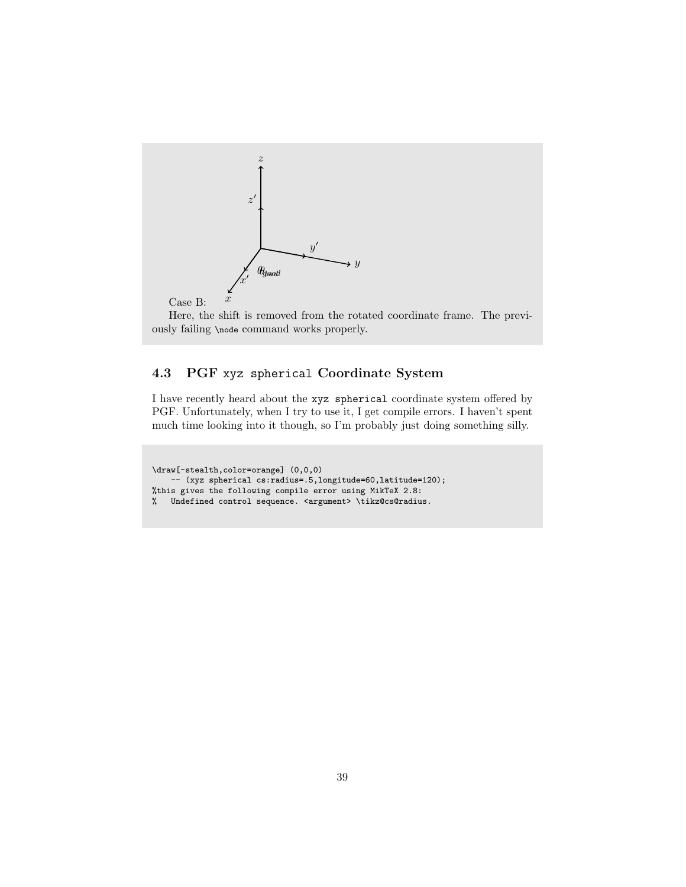

Here, the shift is removed from the rotated coordinate frame. The previously failing \node command works properly.

### <span id="page-42-0"></span>4.3 PGF xyz spherical Coordinate System

I have recently heard about the xyz spherical coordinate system offered by PGF. Unfortunately, when I try to use it, I get compile errors. I haven't spent much time looking into it though, so I'm probably just doing something silly.

\draw[-stealth,color=orange] (0,0,0) -- (xyz spherical cs:radius=.5,longitude=60,latitude=120); %this gives the following compile error using MikTeX 2.8: % Undefined control sequence. <argument> \tikz@cs@radius.